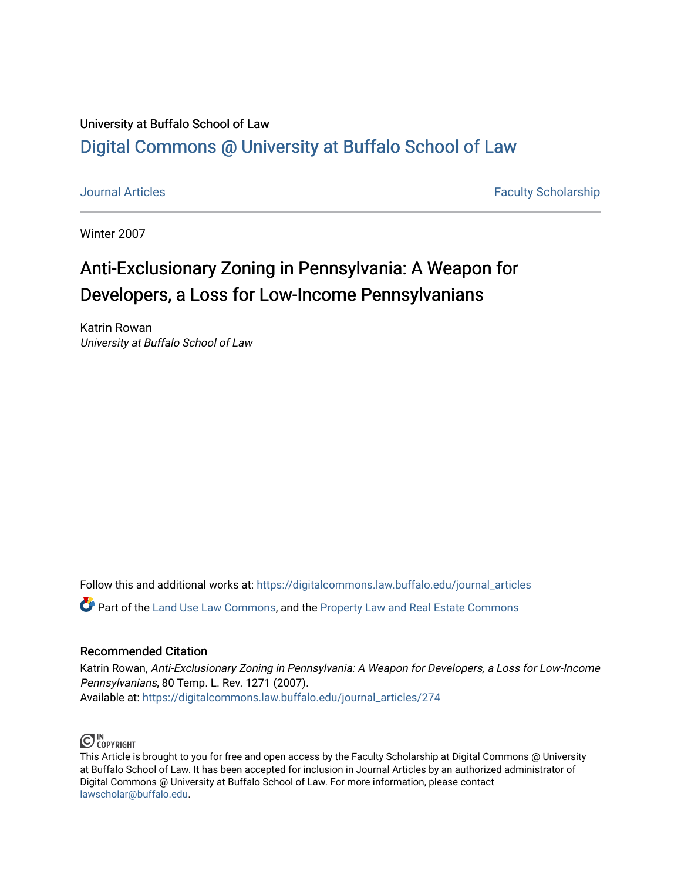# University at Buffalo School of Law [Digital Commons @ University at Buffalo School of Law](https://digitalcommons.law.buffalo.edu/)

[Journal Articles](https://digitalcommons.law.buffalo.edu/journal_articles) **Faculty Scholarship Faculty Scholarship Faculty Scholarship** 

Winter 2007

# Anti-Exclusionary Zoning in Pennsylvania: A W eapon for Developers, a Loss for Low-Income Pennsylvanians

Katrin Rowan University at Buffalo School of Law

Follow this and additional works at: [https://digitalcommons.law.buffalo.edu/journal\\_articles](https://digitalcommons.law.buffalo.edu/journal_articles?utm_source=digitalcommons.law.buffalo.edu%2Fjournal_articles%2F274&utm_medium=PDF&utm_campaign=PDFCoverPages) 

Part of the [Land Use Law Commons](http://network.bepress.com/hgg/discipline/852?utm_source=digitalcommons.law.buffalo.edu%2Fjournal_articles%2F274&utm_medium=PDF&utm_campaign=PDFCoverPages), and the [Property Law and Real Estate Commons](http://network.bepress.com/hgg/discipline/897?utm_source=digitalcommons.law.buffalo.edu%2Fjournal_articles%2F274&utm_medium=PDF&utm_campaign=PDFCoverPages) 

## Recommended Citation

Katrin Rowan, Anti-Exclusionary Zoning in Pennsylvania: A Weapon for Developers, a Loss for Low-Income Pennsylvanians, 80 Temp. L. Rev. 1271 (2007). Available at: [https://digitalcommons.law.buffalo.edu/journal\\_articles/274](https://digitalcommons.law.buffalo.edu/journal_articles/274?utm_source=digitalcommons.law.buffalo.edu%2Fjournal_articles%2F274&utm_medium=PDF&utm_campaign=PDFCoverPages)



This Article is brought to you for free and open access by the Faculty Scholarship at Digital Commons @ University at Buffalo School of Law. It has been accepted for inclusion in Journal Articles by an authorized administrator of Digital Commons @ University at Buffalo School of Law. For more information, please contact [lawscholar@buffalo.edu](mailto:lawscholar@buffalo.edu).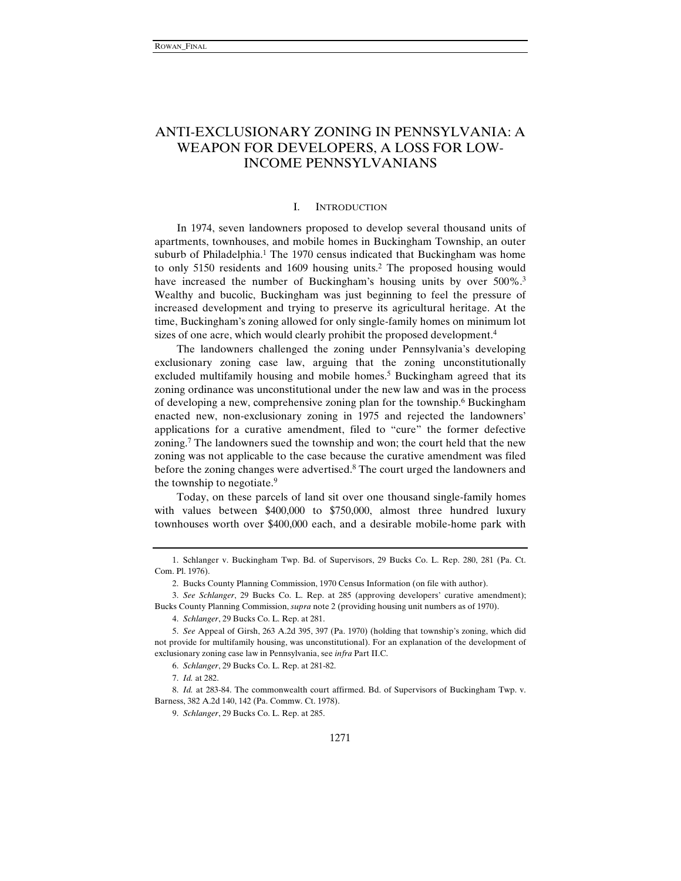## ANTI-EXCLUSIONARY ZONING IN PENNSYLVANIA: A WEAPON FOR DEVELOPERS, A LOSS FOR LOW-INCOME PENNSYLVANIANS

### I. INTRODUCTION

In 1974, seven landowners proposed to develop several thousand units of apartments, townhouses, and mobile homes in Buckingham Township, an outer suburb of Philadelphia.<sup>1</sup> The 1970 census indicated that Buckingham was home to only 5150 residents and 1609 housing units.2 The proposed housing would have increased the number of Buckingham's housing units by over 500%.<sup>3</sup> Wealthy and bucolic, Buckingham was just beginning to feel the pressure of increased development and trying to preserve its agricultural heritage. At the time, Buckingham's zoning allowed for only single-family homes on minimum lot sizes of one acre, which would clearly prohibit the proposed development.<sup>4</sup>

The landowners challenged the zoning under Pennsylvania's developing exclusionary zoning case law, arguing that the zoning unconstitutionally excluded multifamily housing and mobile homes.<sup>5</sup> Buckingham agreed that its zoning ordinance was unconstitutional under the new law and was in the process of developing a new, comprehensive zoning plan for the township.6 Buckingham enacted new, non-exclusionary zoning in 1975 and rejected the landowners' applications for a curative amendment, filed to "cure" the former defective zoning.7 The landowners sued the township and won; the court held that the new zoning was not applicable to the case because the curative amendment was filed before the zoning changes were advertised.<sup>8</sup> The court urged the landowners and the township to negotiate.<sup>9</sup>

Today, on these parcels of land sit over one thousand single-family homes with values between \$400,000 to \$750,000, almost three hundred luxury townhouses worth over \$400,000 each, and a desirable mobile-home park with

4. *Schlanger*, 29 Bucks Co. L. Rep. at 281.

5. *See* Appeal of Girsh, 263 A.2d 395, 397 (Pa. 1970) (holding that township's zoning, which did not provide for multifamily housing, was unconstitutional). For an explanation of the development of exclusionary zoning case law in Pennsylvania, see *infra* Part II.C.

8. *Id.* at 283-84. The commonwealth court affirmed. Bd. of Supervisors of Buckingham Twp. v. Barness, 382 A.2d 140, 142 (Pa. Commw. Ct. 1978).

9. *Schlanger*, 29 Bucks Co. L. Rep. at 285.

<sup>1.</sup> Schlanger v. Buckingham Twp. Bd. of Supervisors, 29 Bucks Co. L. Rep. 280, 281 (Pa. Ct. Com. Pl. 1976).

<sup>2.</sup> Bucks County Planning Commission, 1970 Census Information (on file with author).

<sup>3.</sup> *See Schlanger*, 29 Bucks Co. L. Rep. at 285 (approving developers' curative amendment); Bucks County Planning Commission, *supra* note 2 (providing housing unit numbers as of 1970).

<sup>6.</sup> *Schlanger*, 29 Bucks Co. L. Rep. at 281-82.

<sup>7.</sup> *Id.* at 282.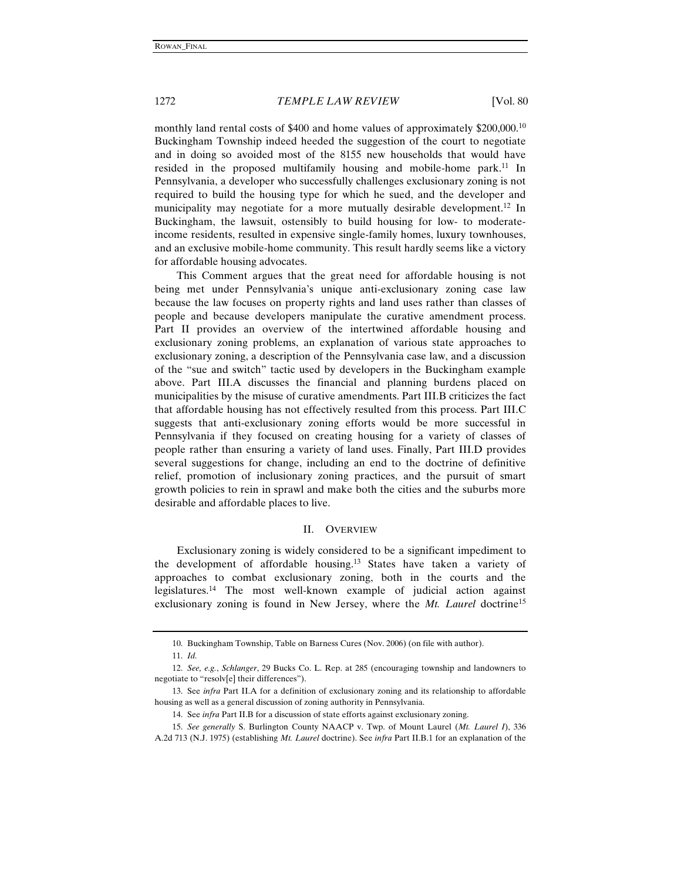monthly land rental costs of \$400 and home values of approximately \$200,000.<sup>10</sup> Buckingham Township indeed heeded the suggestion of the court to negotiate and in doing so avoided most of the 8155 new households that would have resided in the proposed multifamily housing and mobile-home park.<sup>11</sup> In Pennsylvania, a developer who successfully challenges exclusionary zoning is not required to build the housing type for which he sued, and the developer and municipality may negotiate for a more mutually desirable development.<sup>12</sup> In Buckingham, the lawsuit, ostensibly to build housing for low- to moderateincome residents, resulted in expensive single-family homes, luxury townhouses, and an exclusive mobile-home community. This result hardly seems like a victory for affordable housing advocates.

This Comment argues that the great need for affordable housing is not being met under Pennsylvania's unique anti-exclusionary zoning case law because the law focuses on property rights and land uses rather than classes of people and because developers manipulate the curative amendment process. Part II provides an overview of the intertwined affordable housing and exclusionary zoning problems, an explanation of various state approaches to exclusionary zoning, a description of the Pennsylvania case law, and a discussion of the "sue and switch" tactic used by developers in the Buckingham example above. Part III.A discusses the financial and planning burdens placed on municipalities by the misuse of curative amendments. Part III.B criticizes the fact that affordable housing has not effectively resulted from this process. Part III.C suggests that anti-exclusionary zoning efforts would be more successful in Pennsylvania if they focused on creating housing for a variety of classes of people rather than ensuring a variety of land uses. Finally, Part III.D provides several suggestions for change, including an end to the doctrine of definitive relief, promotion of inclusionary zoning practices, and the pursuit of smart growth policies to rein in sprawl and make both the cities and the suburbs more desirable and affordable places to live.

#### II. OVERVIEW

Exclusionary zoning is widely considered to be a significant impediment to the development of affordable housing.<sup>13</sup> States have taken a variety of approaches to combat exclusionary zoning, both in the courts and the legislatures.14 The most well-known example of judicial action against exclusionary zoning is found in New Jersey, where the *Mt. Laurel* doctrine<sup>15</sup>

<sup>10.</sup> Buckingham Township, Table on Barness Cures (Nov. 2006) (on file with author).

<sup>11.</sup> *Id.*

<sup>12.</sup> *See, e.g.*, *Schlanger*, 29 Bucks Co. L. Rep. at 285 (encouraging township and landowners to negotiate to "resolv[e] their differences").

<sup>13.</sup> See *infra* Part II.A for a definition of exclusionary zoning and its relationship to affordable housing as well as a general discussion of zoning authority in Pennsylvania.

<sup>14.</sup> See *infra* Part II.B for a discussion of state efforts against exclusionary zoning.

<sup>15.</sup> *See generally* S. Burlington County NAACP v. Twp. of Mount Laurel (*Mt. Laurel I*), 336 A.2d 713 (N.J. 1975) (establishing *Mt. Laurel* doctrine). See *infra* Part II.B.1 for an explanation of the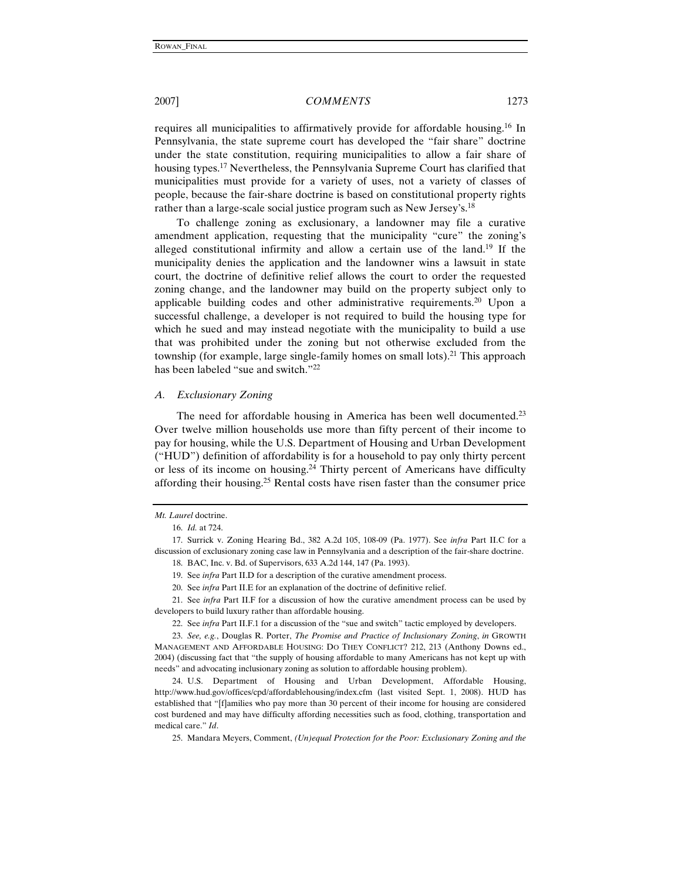requires all municipalities to affirmatively provide for affordable housing.16 In Pennsylvania, the state supreme court has developed the "fair share" doctrine under the state constitution, requiring municipalities to allow a fair share of housing types.17 Nevertheless, the Pennsylvania Supreme Court has clarified that municipalities must provide for a variety of uses, not a variety of classes of people, because the fair-share doctrine is based on constitutional property rights rather than a large-scale social justice program such as New Jersey's.18

To challenge zoning as exclusionary, a landowner may file a curative amendment application, requesting that the municipality "cure" the zoning's alleged constitutional infirmity and allow a certain use of the land.19 If the municipality denies the application and the landowner wins a lawsuit in state court, the doctrine of definitive relief allows the court to order the requested zoning change, and the landowner may build on the property subject only to applicable building codes and other administrative requirements.20 Upon a successful challenge, a developer is not required to build the housing type for which he sued and may instead negotiate with the municipality to build a use that was prohibited under the zoning but not otherwise excluded from the township (for example, large single-family homes on small lots).21 This approach has been labeled "sue and switch."22

#### *A. Exclusionary Zoning*

The need for affordable housing in America has been well documented.<sup>23</sup> Over twelve million households use more than fifty percent of their income to pay for housing, while the U.S. Department of Housing and Urban Development ("HUD") definition of affordability is for a household to pay only thirty percent or less of its income on housing.<sup>24</sup> Thirty percent of Americans have difficulty affording their housing.25 Rental costs have risen faster than the consumer price

21. See *infra* Part II.F for a discussion of how the curative amendment process can be used by developers to build luxury rather than affordable housing.

22. See *infra* Part II.F.1 for a discussion of the "sue and switch" tactic employed by developers.

23. *See, e.g.*, Douglas R. Porter, *The Promise and Practice of Inclusionary Zoning*, *in* GROWTH MANAGEMENT AND AFFORDABLE HOUSING: DO THEY CONFLICT? 212, 213 (Anthony Downs ed., 2004) (discussing fact that "the supply of housing affordable to many Americans has not kept up with needs" and advocating inclusionary zoning as solution to affordable housing problem).

24. U.S. Department of Housing and Urban Development, Affordable Housing, http://www.hud.gov/offices/cpd/affordablehousing/index.cfm (last visited Sept. 1, 2008). HUD has established that "[f]amilies who pay more than 30 percent of their income for housing are considered cost burdened and may have difficulty affording necessities such as food, clothing, transportation and medical care." *Id*.

25. Mandara Meyers, Comment, *(Un)equal Protection for the Poor: Exclusionary Zoning and the* 

*Mt. Laurel* doctrine.

<sup>16.</sup> *Id.* at 724.

<sup>17.</sup> Surrick v. Zoning Hearing Bd., 382 A.2d 105, 108-09 (Pa. 1977). See *infra* Part II.C for a discussion of exclusionary zoning case law in Pennsylvania and a description of the fair-share doctrine.

<sup>18.</sup> BAC, Inc. v. Bd. of Supervisors, 633 A.2d 144, 147 (Pa. 1993).

<sup>19.</sup> See *infra* Part II.D for a description of the curative amendment process.

<sup>20.</sup> See *infra* Part II.E for an explanation of the doctrine of definitive relief.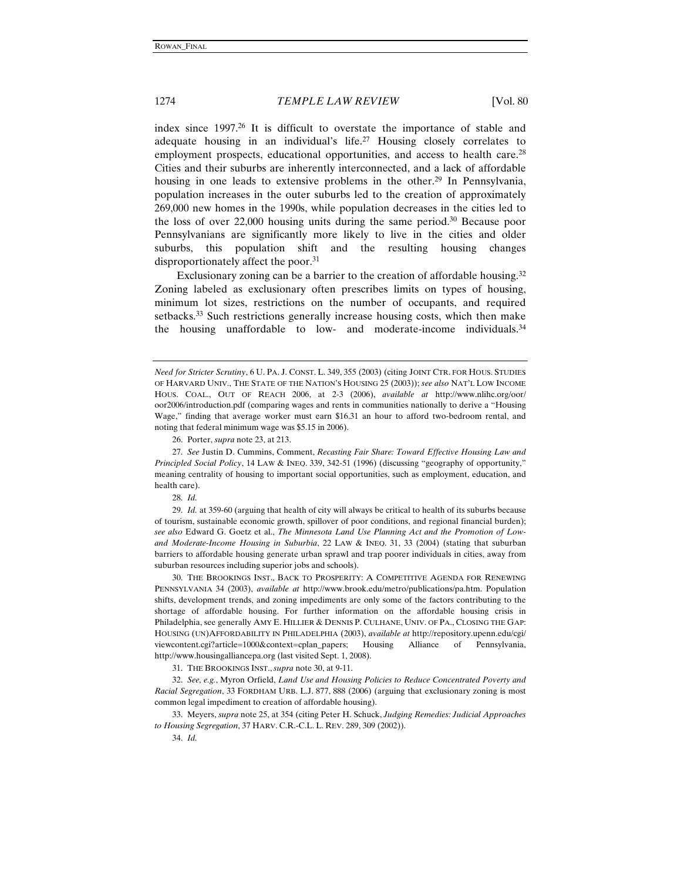index since 1997.26 It is difficult to overstate the importance of stable and adequate housing in an individual's life.27 Housing closely correlates to employment prospects, educational opportunities, and access to health care.<sup>28</sup> Cities and their suburbs are inherently interconnected, and a lack of affordable housing in one leads to extensive problems in the other.<sup>29</sup> In Pennsylvania, population increases in the outer suburbs led to the creation of approximately 269,000 new homes in the 1990s, while population decreases in the cities led to the loss of over 22,000 housing units during the same period.30 Because poor Pennsylvanians are significantly more likely to live in the cities and older suburbs, this population shift and the resulting housing changes disproportionately affect the poor.<sup>31</sup>

Exclusionary zoning can be a barrier to the creation of affordable housing.<sup>32</sup> Zoning labeled as exclusionary often prescribes limits on types of housing, minimum lot sizes, restrictions on the number of occupants, and required setbacks.33 Such restrictions generally increase housing costs, which then make the housing unaffordable to low- and moderate-income individuals.34

26. Porter, *supra* note 23, at 213.

27. *See* Justin D. Cummins, Comment, *Recasting Fair Share: Toward Effective Housing Law and Principled Social Policy*, 14 LAW & INEQ. 339, 342-51 (1996) (discussing "geography of opportunity," meaning centrality of housing to important social opportunities, such as employment, education, and health care).

28. *Id.*

29. *Id.* at 359-60 (arguing that health of city will always be critical to health of its suburbs because of tourism, sustainable economic growth, spillover of poor conditions, and regional financial burden); *see also* Edward G. Goetz et al., *The Minnesota Land Use Planning Act and the Promotion of Lowand Moderate-Income Housing in Suburbia*, 22 LAW & INEQ. 31, 33 (2004) (stating that suburban barriers to affordable housing generate urban sprawl and trap poorer individuals in cities, away from suburban resources including superior jobs and schools).

30. THE BROOKINGS INST., BACK TO PROSPERITY: A COMPETITIVE AGENDA FOR RENEWING PENNSYLVANIA 34 (2003), *available at* http://www.brook.edu/metro/publications/pa.htm. Population shifts, development trends, and zoning impediments are only some of the factors contributing to the shortage of affordable housing. For further information on the affordable housing crisis in Philadelphia, see generally AMY E. HILLIER & DENNIS P. CULHANE, UNIV. OF PA., CLOSING THE GAP: HOUSING (UN)AFFORDABILITY IN PHILADELPHIA (2003), *available at* http://repository.upenn.edu/cgi/ viewcontent.cgi?article=1000&context=cplan\_papers; Housing Alliance of Pennsylvania, http://www.housingalliancepa.org (last visited Sept. 1, 2008).

31. THE BROOKINGS INST., *supra* note 30, at 9-11.

32. *See, e.g.*, Myron Orfield, *Land Use and Housing Policies to Reduce Concentrated Poverty and Racial Segregation*, 33 FORDHAM URB. L.J. 877, 888 (2006) (arguing that exclusionary zoning is most common legal impediment to creation of affordable housing).

33. Meyers, *supra* note 25, at 354 (citing Peter H. Schuck, *Judging Remedies: Judicial Approaches to Housing Segregation*, 37 HARV. C.R.-C.L. L. REV. 289, 309 (2002)).

34. *Id.*

*Need for Stricter Scrutiny*, 6 U. PA. J. CONST. L. 349, 355 (2003) (citing JOINT CTR. FOR HOUS. STUDIES OF HARVARD UNIV., THE STATE OF THE NATION'S HOUSING 25 (2003)); *see also* NAT'L LOW INCOME HOUS. COAL., OUT OF REACH 2006, at 2-3 (2006), *available at* http://www.nlihc.org/oor/ oor2006/introduction.pdf (comparing wages and rents in communities nationally to derive a "Housing Wage," finding that average worker must earn \$16.31 an hour to afford two-bedroom rental, and noting that federal minimum wage was \$5.15 in 2006).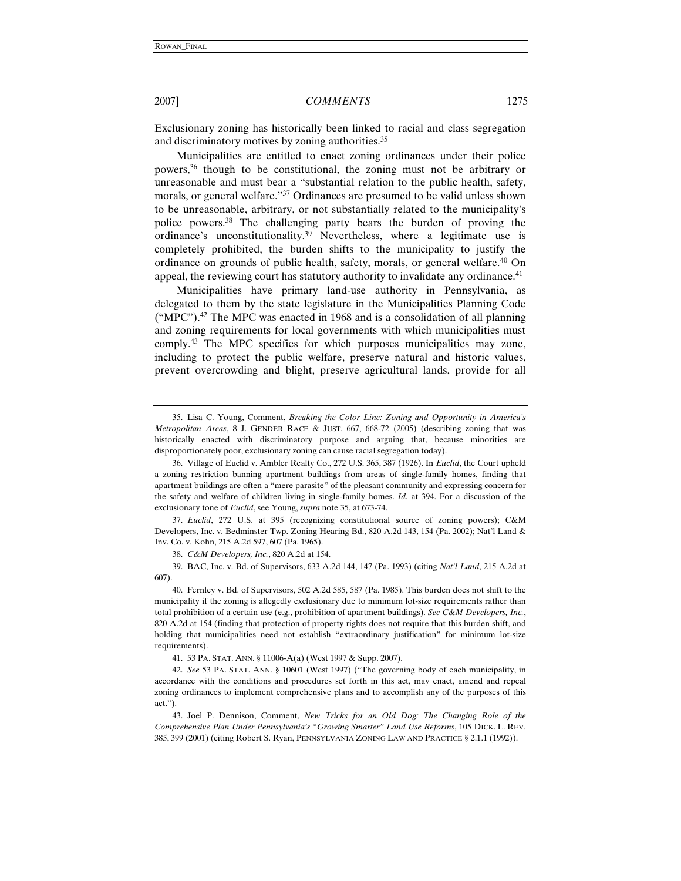Exclusionary zoning has historically been linked to racial and class segregation and discriminatory motives by zoning authorities.<sup>35</sup>

Municipalities are entitled to enact zoning ordinances under their police powers,36 though to be constitutional, the zoning must not be arbitrary or unreasonable and must bear a "substantial relation to the public health, safety, morals, or general welfare."37 Ordinances are presumed to be valid unless shown to be unreasonable, arbitrary, or not substantially related to the municipality's police powers.38 The challenging party bears the burden of proving the ordinance's unconstitutionality.39 Nevertheless, where a legitimate use is completely prohibited, the burden shifts to the municipality to justify the ordinance on grounds of public health, safety, morals, or general welfare.<sup>40</sup> On appeal, the reviewing court has statutory authority to invalidate any ordinance.<sup>41</sup>

Municipalities have primary land-use authority in Pennsylvania, as delegated to them by the state legislature in the Municipalities Planning Code  $("MPC")$ <sup>42</sup>. The MPC was enacted in 1968 and is a consolidation of all planning and zoning requirements for local governments with which municipalities must comply.43 The MPC specifies for which purposes municipalities may zone, including to protect the public welfare, preserve natural and historic values, prevent overcrowding and blight, preserve agricultural lands, provide for all

41. 53 PA. STAT. ANN. § 11006-A(a) (West 1997 & Supp. 2007).

<sup>35.</sup> Lisa C. Young, Comment, *Breaking the Color Line: Zoning and Opportunity in America's Metropolitan Areas*, 8 J. GENDER RACE & JUST. 667, 668-72 (2005) (describing zoning that was historically enacted with discriminatory purpose and arguing that, because minorities are disproportionately poor, exclusionary zoning can cause racial segregation today).

<sup>36.</sup> Village of Euclid v. Ambler Realty Co., 272 U.S. 365, 387 (1926). In *Euclid*, the Court upheld a zoning restriction banning apartment buildings from areas of single-family homes, finding that apartment buildings are often a "mere parasite" of the pleasant community and expressing concern for the safety and welfare of children living in single-family homes. *Id.* at 394. For a discussion of the exclusionary tone of *Euclid*, see Young, *supra* note 35, at 673-74.

<sup>37.</sup> *Euclid*, 272 U.S. at 395 (recognizing constitutional source of zoning powers); C&M Developers, Inc. v. Bedminster Twp. Zoning Hearing Bd., 820 A.2d 143, 154 (Pa. 2002); Nat'l Land & Inv. Co. v. Kohn, 215 A.2d 597, 607 (Pa. 1965).

<sup>38.</sup> *C&M Developers, Inc.*, 820 A.2d at 154.

<sup>39.</sup> BAC, Inc. v. Bd. of Supervisors, 633 A.2d 144, 147 (Pa. 1993) (citing *Nat'l Land*, 215 A.2d at 607).

<sup>40.</sup> Fernley v. Bd. of Supervisors, 502 A.2d 585, 587 (Pa. 1985). This burden does not shift to the municipality if the zoning is allegedly exclusionary due to minimum lot-size requirements rather than total prohibition of a certain use (e.g., prohibition of apartment buildings). *See C&M Developers, Inc.*, 820 A.2d at 154 (finding that protection of property rights does not require that this burden shift, and holding that municipalities need not establish "extraordinary justification" for minimum lot-size requirements).

<sup>42.</sup> *See* 53 PA. STAT. ANN. § 10601 (West 1997) ("The governing body of each municipality, in accordance with the conditions and procedures set forth in this act, may enact, amend and repeal zoning ordinances to implement comprehensive plans and to accomplish any of the purposes of this act.").

<sup>43.</sup> Joel P. Dennison, Comment, *New Tricks for an Old Dog: The Changing Role of the Comprehensive Plan Under Pennsylvania's "Growing Smarter" Land Use Reforms*, 105 DICK. L. REV. 385, 399 (2001) (citing Robert S. Ryan, PENNSYLVANIA ZONING LAW AND PRACTICE § 2.1.1 (1992)).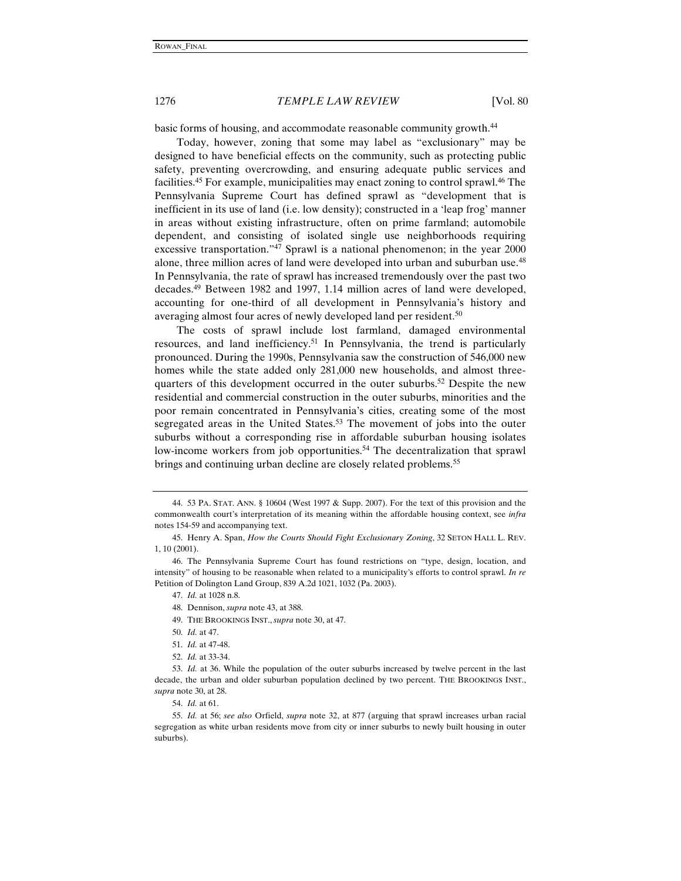basic forms of housing, and accommodate reasonable community growth.<sup>44</sup>

Today, however, zoning that some may label as "exclusionary" may be designed to have beneficial effects on the community, such as protecting public safety, preventing overcrowding, and ensuring adequate public services and facilities.45 For example, municipalities may enact zoning to control sprawl.46 The Pennsylvania Supreme Court has defined sprawl as "development that is inefficient in its use of land (i.e. low density); constructed in a 'leap frog' manner in areas without existing infrastructure, often on prime farmland; automobile dependent, and consisting of isolated single use neighborhoods requiring excessive transportation."47 Sprawl is a national phenomenon; in the year 2000 alone, three million acres of land were developed into urban and suburban use.48 In Pennsylvania, the rate of sprawl has increased tremendously over the past two decades.49 Between 1982 and 1997, 1.14 million acres of land were developed, accounting for one-third of all development in Pennsylvania's history and averaging almost four acres of newly developed land per resident.<sup>50</sup>

The costs of sprawl include lost farmland, damaged environmental resources, and land inefficiency.51 In Pennsylvania, the trend is particularly pronounced. During the 1990s, Pennsylvania saw the construction of 546,000 new homes while the state added only 281,000 new households, and almost threequarters of this development occurred in the outer suburbs.<sup>52</sup> Despite the new residential and commercial construction in the outer suburbs, minorities and the poor remain concentrated in Pennsylvania's cities, creating some of the most segregated areas in the United States.<sup>53</sup> The movement of jobs into the outer suburbs without a corresponding rise in affordable suburban housing isolates low-income workers from job opportunities.<sup>54</sup> The decentralization that sprawl brings and continuing urban decline are closely related problems.<sup>55</sup>

<sup>44. 53</sup> PA. STAT. ANN. § 10604 (West 1997 & Supp. 2007). For the text of this provision and the commonwealth court's interpretation of its meaning within the affordable housing context, see *infra* notes 154-59 and accompanying text.

<sup>45.</sup> Henry A. Span, *How the Courts Should Fight Exclusionary Zoning*, 32 SETON HALL L. REV. 1, 10 (2001).

<sup>46.</sup> The Pennsylvania Supreme Court has found restrictions on "type, design, location, and intensity" of housing to be reasonable when related to a municipality's efforts to control sprawl. *In re* Petition of Dolington Land Group, 839 A.2d 1021, 1032 (Pa. 2003).

<sup>47.</sup> *Id.* at 1028 n.8.

<sup>48.</sup> Dennison, *supra* note 43, at 388.

<sup>49.</sup> THE BROOKINGS INST., *supra* note 30, at 47.

<sup>50.</sup> *Id.* at 47.

<sup>51.</sup> *Id.* at 47-48.

<sup>52.</sup> *Id.* at 33-34.

<sup>53.</sup> *Id.* at 36. While the population of the outer suburbs increased by twelve percent in the last decade, the urban and older suburban population declined by two percent. THE BROOKINGS INST., *supra* note 30, at 28.

<sup>54.</sup> *Id.* at 61.

<sup>55.</sup> *Id.* at 56; *see also* Orfield, *supra* note 32, at 877 (arguing that sprawl increases urban racial segregation as white urban residents move from city or inner suburbs to newly built housing in outer suburbs).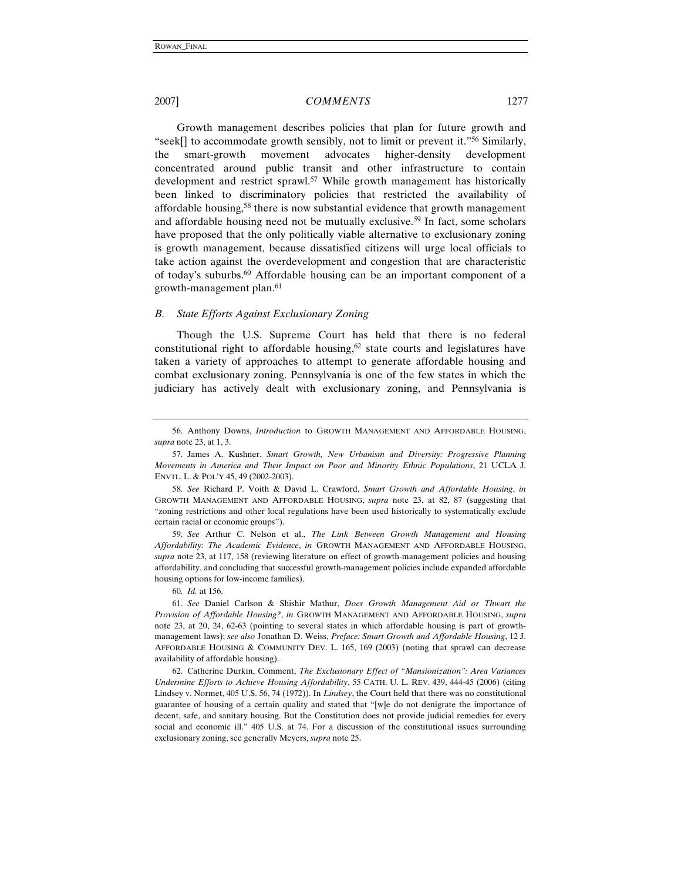Growth management describes policies that plan for future growth and "seek[] to accommodate growth sensibly, not to limit or prevent it."56 Similarly, the smart-growth movement advocates higher-density development concentrated around public transit and other infrastructure to contain development and restrict sprawl.<sup>57</sup> While growth management has historically been linked to discriminatory policies that restricted the availability of affordable housing,58 there is now substantial evidence that growth management and affordable housing need not be mutually exclusive.<sup>59</sup> In fact, some scholars have proposed that the only politically viable alternative to exclusionary zoning is growth management, because dissatisfied citizens will urge local officials to take action against the overdevelopment and congestion that are characteristic of today's suburbs.<sup>60</sup> Affordable housing can be an important component of a growth-management plan.61

#### *B. State Efforts Against Exclusionary Zoning*

Though the U.S. Supreme Court has held that there is no federal constitutional right to affordable housing, $62$  state courts and legislatures have taken a variety of approaches to attempt to generate affordable housing and combat exclusionary zoning. Pennsylvania is one of the few states in which the judiciary has actively dealt with exclusionary zoning, and Pennsylvania is

59. *See* Arthur C. Nelson et al., *The Link Between Growth Management and Housing Affordability: The Academic Evidence*, *in* GROWTH MANAGEMENT AND AFFORDABLE HOUSING, *supra* note 23, at 117, 158 (reviewing literature on effect of growth-management policies and housing affordability, and concluding that successful growth-management policies include expanded affordable housing options for low-income families).

60. *Id.* at 156.

61. *See* Daniel Carlson & Shishir Mathur, *Does Growth Management Aid or Thwart the Provision of Affordable Housing?*, *in* GROWTH MANAGEMENT AND AFFORDABLE HOUSING, *supra* note 23, at 20, 24, 62-63 (pointing to several states in which affordable housing is part of growthmanagement laws); *see also* Jonathan D. Weiss, *Preface: Smart Growth and Affordable Housing*, 12 J. AFFORDABLE HOUSING & COMMUNITY DEV. L. 165, 169 (2003) (noting that sprawl can decrease availability of affordable housing).

62. Catherine Durkin, Comment, *The Exclusionary Effect of "Mansionization": Area Variances Undermine Efforts to Achieve Housing Affordability*, 55 CATH. U. L. REV. 439, 444-45 (2006) (citing Lindsey v. Normet, 405 U.S. 56, 74 (1972)). In *Lindsey*, the Court held that there was no constitutional guarantee of housing of a certain quality and stated that "[w]e do not denigrate the importance of decent, safe, and sanitary housing. But the Constitution does not provide judicial remedies for every social and economic ill." 405 U.S. at 74. For a discussion of the constitutional issues surrounding exclusionary zoning, see generally Meyers, *supra* note 25.

<sup>56.</sup> Anthony Downs, *Introduction* to GROWTH MANAGEMENT AND AFFORDABLE HOUSING, *supra* note 23, at 1, 3.

<sup>57.</sup> James A. Kushner, *Smart Growth, New Urbanism and Diversity: Progressive Planning Movements in America and Their Impact on Poor and Minority Ethnic Populations*, 21 UCLA J. ENVTL. L. & POL'Y 45, 49 (2002-2003).

<sup>58.</sup> *See* Richard P. Voith & David L. Crawford, *Smart Growth and Affordable Housing*, *in* GROWTH MANAGEMENT AND AFFORDABLE HOUSING, *supra* note 23, at 82, 87 (suggesting that "zoning restrictions and other local regulations have been used historically to systematically exclude certain racial or economic groups").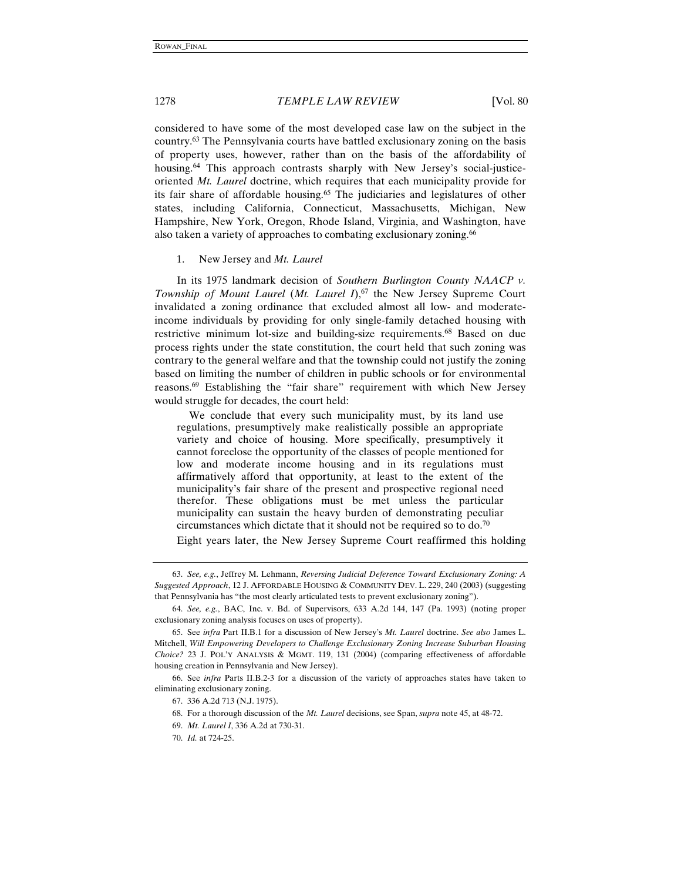considered to have some of the most developed case law on the subject in the country.63 The Pennsylvania courts have battled exclusionary zoning on the basis of property uses, however, rather than on the basis of the affordability of housing.<sup>64</sup> This approach contrasts sharply with New Jersey's social-justiceoriented *Mt. Laurel* doctrine, which requires that each municipality provide for its fair share of affordable housing.<sup>65</sup> The judiciaries and legislatures of other states, including California, Connecticut, Massachusetts, Michigan, New Hampshire, New York, Oregon, Rhode Island, Virginia, and Washington, have also taken a variety of approaches to combating exclusionary zoning.66

#### 1. New Jersey and *Mt. Laurel*

In its 1975 landmark decision of *Southern Burlington County NAACP v. Township of Mount Laurel (Mt. Laurel I),<sup>67</sup> the New Jersey Supreme Court* invalidated a zoning ordinance that excluded almost all low- and moderateincome individuals by providing for only single-family detached housing with restrictive minimum lot-size and building-size requirements.68 Based on due process rights under the state constitution, the court held that such zoning was contrary to the general welfare and that the township could not justify the zoning based on limiting the number of children in public schools or for environmental reasons.69 Establishing the "fair share" requirement with which New Jersey would struggle for decades, the court held:

 We conclude that every such municipality must, by its land use regulations, presumptively make realistically possible an appropriate variety and choice of housing. More specifically, presumptively it cannot foreclose the opportunity of the classes of people mentioned for low and moderate income housing and in its regulations must affirmatively afford that opportunity, at least to the extent of the municipality's fair share of the present and prospective regional need therefor. These obligations must be met unless the particular municipality can sustain the heavy burden of demonstrating peculiar circumstances which dictate that it should not be required so to do.70

Eight years later, the New Jersey Supreme Court reaffirmed this holding

<sup>63.</sup> *See, e.g.*, Jeffrey M. Lehmann, *Reversing Judicial Deference Toward Exclusionary Zoning: A Suggested Approach*, 12 J. AFFORDABLE HOUSING & COMMUNITY DEV. L. 229, 240 (2003) (suggesting that Pennsylvania has "the most clearly articulated tests to prevent exclusionary zoning").

<sup>64.</sup> *See, e.g.*, BAC, Inc. v. Bd. of Supervisors, 633 A.2d 144, 147 (Pa. 1993) (noting proper exclusionary zoning analysis focuses on uses of property).

<sup>65.</sup> See *infra* Part II.B.1 for a discussion of New Jersey's *Mt. Laurel* doctrine. *See also* James L. Mitchell, *Will Empowering Developers to Challenge Exclusionary Zoning Increase Suburban Housing Choice?* 23 J. POL'Y ANALYSIS & MGMT. 119, 131 (2004) (comparing effectiveness of affordable housing creation in Pennsylvania and New Jersey).

<sup>66.</sup> See *infra* Parts II.B.2-3 for a discussion of the variety of approaches states have taken to eliminating exclusionary zoning.

<sup>67. 336</sup> A.2d 713 (N.J. 1975).

<sup>68.</sup> For a thorough discussion of the *Mt. Laurel* decisions, see Span, *supra* note 45, at 48-72.

<sup>69.</sup> *Mt. Laurel I*, 336 A.2d at 730-31.

<sup>70.</sup> *Id.* at 724-25.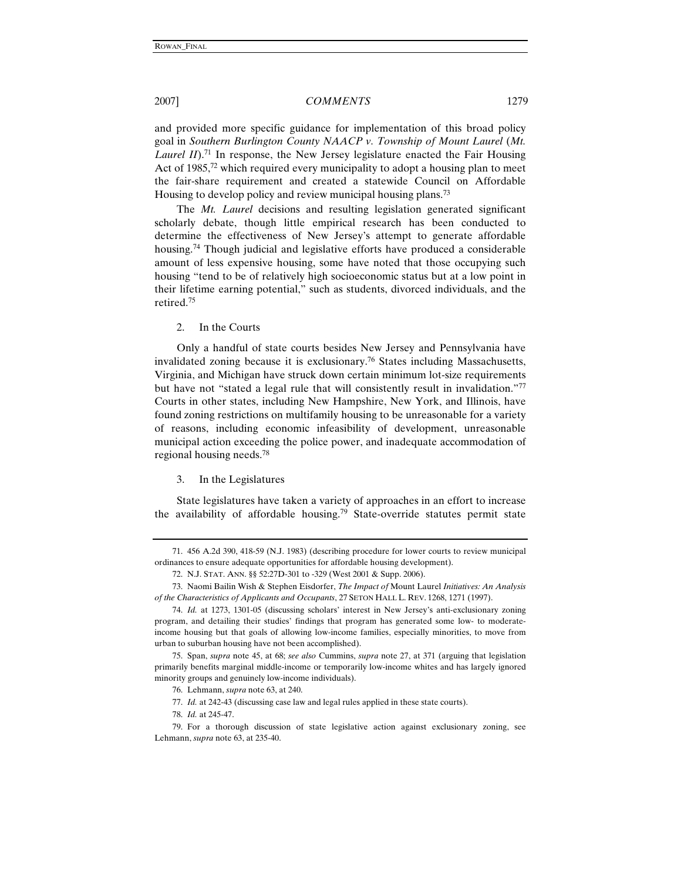and provided more specific guidance for implementation of this broad policy goal in *Southern Burlington County NAACP v. Township of Mount Laurel* (*Mt. Laurel II*).<sup>71</sup> In response, the New Jersey legislature enacted the Fair Housing Act of 1985,<sup>72</sup> which required every municipality to adopt a housing plan to meet the fair-share requirement and created a statewide Council on Affordable Housing to develop policy and review municipal housing plans.<sup>73</sup>

The *Mt. Laurel* decisions and resulting legislation generated significant scholarly debate, though little empirical research has been conducted to determine the effectiveness of New Jersey's attempt to generate affordable housing.<sup>74</sup> Though judicial and legislative efforts have produced a considerable amount of less expensive housing, some have noted that those occupying such housing "tend to be of relatively high socioeconomic status but at a low point in their lifetime earning potential," such as students, divorced individuals, and the retired.75

2. In the Courts

Only a handful of state courts besides New Jersey and Pennsylvania have invalidated zoning because it is exclusionary.76 States including Massachusetts, Virginia, and Michigan have struck down certain minimum lot-size requirements but have not "stated a legal rule that will consistently result in invalidation."77 Courts in other states, including New Hampshire, New York, and Illinois, have found zoning restrictions on multifamily housing to be unreasonable for a variety of reasons, including economic infeasibility of development, unreasonable municipal action exceeding the police power, and inadequate accommodation of regional housing needs.78

#### 3. In the Legislatures

State legislatures have taken a variety of approaches in an effort to increase the availability of affordable housing.<sup>79</sup> State-override statutes permit state

77. *Id.* at 242-43 (discussing case law and legal rules applied in these state courts).

<sup>71. 456</sup> A.2d 390, 418-59 (N.J. 1983) (describing procedure for lower courts to review municipal ordinances to ensure adequate opportunities for affordable housing development).

<sup>72.</sup> N.J. STAT. ANN. §§ 52:27D-301 to -329 (West 2001 & Supp. 2006).

<sup>73.</sup> Naomi Bailin Wish & Stephen Eisdorfer, *The Impact of* Mount Laurel *Initiatives: An Analysis of the Characteristics of Applicants and Occupants*, 27 SETON HALL L. REV. 1268, 1271 (1997).

<sup>74.</sup> *Id.* at 1273, 1301-05 (discussing scholars' interest in New Jersey's anti-exclusionary zoning program, and detailing their studies' findings that program has generated some low- to moderateincome housing but that goals of allowing low-income families, especially minorities, to move from urban to suburban housing have not been accomplished).

<sup>75.</sup> Span, *supra* note 45, at 68; *see also* Cummins, *supra* note 27, at 371 (arguing that legislation primarily benefits marginal middle-income or temporarily low-income whites and has largely ignored minority groups and genuinely low-income individuals).

<sup>76.</sup> Lehmann, *supra* note 63, at 240.

<sup>78.</sup> *Id.* at 245-47.

<sup>79.</sup> For a thorough discussion of state legislative action against exclusionary zoning, see Lehmann, *supra* note 63, at 235-40.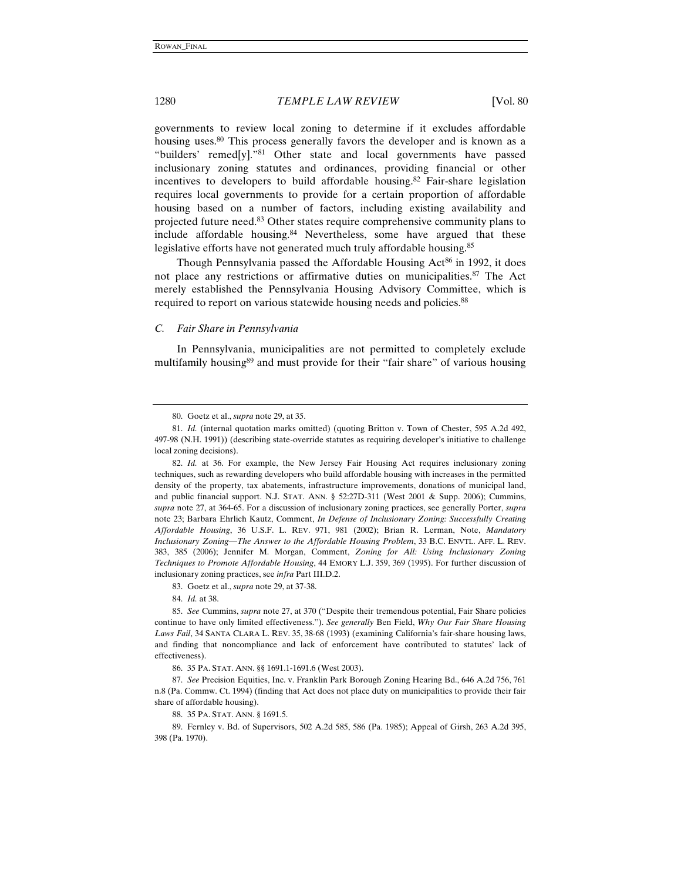governments to review local zoning to determine if it excludes affordable housing uses.<sup>80</sup> This process generally favors the developer and is known as a "builders' remed[y]."81 Other state and local governments have passed inclusionary zoning statutes and ordinances, providing financial or other incentives to developers to build affordable housing.<sup>82</sup> Fair-share legislation requires local governments to provide for a certain proportion of affordable housing based on a number of factors, including existing availability and projected future need.83 Other states require comprehensive community plans to include affordable housing.<sup>84</sup> Nevertheless, some have argued that these legislative efforts have not generated much truly affordable housing.<sup>85</sup>

Though Pennsylvania passed the Affordable Housing Act<sup>86</sup> in 1992, it does not place any restrictions or affirmative duties on municipalities.<sup>87</sup> The Act merely established the Pennsylvania Housing Advisory Committee, which is required to report on various statewide housing needs and policies.<sup>88</sup>

#### *C. Fair Share in Pennsylvania*

In Pennsylvania, municipalities are not permitted to completely exclude multifamily housing<sup>89</sup> and must provide for their "fair share" of various housing

<sup>80.</sup> Goetz et al., *supra* note 29, at 35.

<sup>81.</sup> *Id.* (internal quotation marks omitted) (quoting Britton v. Town of Chester, 595 A.2d 492, 497-98 (N.H. 1991)) (describing state-override statutes as requiring developer's initiative to challenge local zoning decisions).

<sup>82.</sup> *Id.* at 36. For example, the New Jersey Fair Housing Act requires inclusionary zoning techniques, such as rewarding developers who build affordable housing with increases in the permitted density of the property, tax abatements, infrastructure improvements, donations of municipal land, and public financial support. N.J. STAT. ANN. § 52:27D-311 (West 2001 & Supp. 2006); Cummins, *supra* note 27, at 364-65. For a discussion of inclusionary zoning practices, see generally Porter, *supra* note 23; Barbara Ehrlich Kautz, Comment, *In Defense of Inclusionary Zoning: Successfully Creating Affordable Housing*, 36 U.S.F. L. REV. 971, 981 (2002); Brian R. Lerman, Note, *Mandatory Inclusionary Zoning*—*The Answer to the Affordable Housing Problem*, 33 B.C. ENVTL. AFF. L. REV. 383, 385 (2006); Jennifer M. Morgan, Comment, *Zoning for All: Using Inclusionary Zoning Techniques to Promote Affordable Housing*, 44 EMORY L.J. 359, 369 (1995). For further discussion of inclusionary zoning practices, see *infra* Part III.D.2.

<sup>83.</sup> Goetz et al., *supra* note 29, at 37-38.

<sup>84.</sup> *Id.* at 38.

<sup>85.</sup> *See* Cummins, *supra* note 27, at 370 ("Despite their tremendous potential, Fair Share policies continue to have only limited effectiveness."). *See generally* Ben Field, *Why Our Fair Share Housing Laws Fail*, 34 SANTA CLARA L. REV. 35, 38-68 (1993) (examining California's fair-share housing laws, and finding that noncompliance and lack of enforcement have contributed to statutes' lack of effectiveness).

<sup>86. 35</sup> PA. STAT. ANN. §§ 1691.1-1691.6 (West 2003).

<sup>87.</sup> *See* Precision Equities, Inc. v. Franklin Park Borough Zoning Hearing Bd., 646 A.2d 756, 761 n.8 (Pa. Commw. Ct. 1994) (finding that Act does not place duty on municipalities to provide their fair share of affordable housing).

<sup>88. 35</sup> PA. STAT. ANN. § 1691.5.

<sup>89.</sup> Fernley v. Bd. of Supervisors, 502 A.2d 585, 586 (Pa. 1985); Appeal of Girsh, 263 A.2d 395, 398 (Pa. 1970).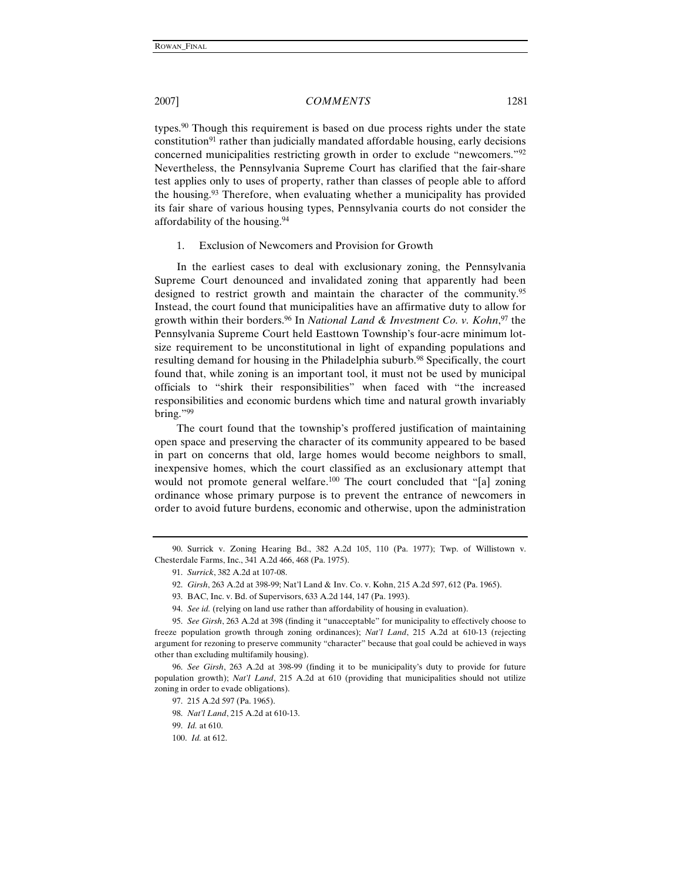types.<sup>90</sup> Though this requirement is based on due process rights under the state constitution<sup>91</sup> rather than judicially mandated affordable housing, early decisions concerned municipalities restricting growth in order to exclude "newcomers."92 Nevertheless, the Pennsylvania Supreme Court has clarified that the fair-share test applies only to uses of property, rather than classes of people able to afford the housing.93 Therefore, when evaluating whether a municipality has provided its fair share of various housing types, Pennsylvania courts do not consider the affordability of the housing.94

#### 1. Exclusion of Newcomers and Provision for Growth

In the earliest cases to deal with exclusionary zoning, the Pennsylvania Supreme Court denounced and invalidated zoning that apparently had been designed to restrict growth and maintain the character of the community.<sup>95</sup> Instead, the court found that municipalities have an affirmative duty to allow for growth within their borders.96 In *National Land & Investment Co. v. Kohn*, 97 the Pennsylvania Supreme Court held Easttown Township's four-acre minimum lotsize requirement to be unconstitutional in light of expanding populations and resulting demand for housing in the Philadelphia suburb.<sup>98</sup> Specifically, the court found that, while zoning is an important tool, it must not be used by municipal officials to "shirk their responsibilities" when faced with "the increased responsibilities and economic burdens which time and natural growth invariably bring."99

The court found that the township's proffered justification of maintaining open space and preserving the character of its community appeared to be based in part on concerns that old, large homes would become neighbors to small, inexpensive homes, which the court classified as an exclusionary attempt that would not promote general welfare.<sup>100</sup> The court concluded that "[a] zoning ordinance whose primary purpose is to prevent the entrance of newcomers in order to avoid future burdens, economic and otherwise, upon the administration

<sup>90.</sup> Surrick v. Zoning Hearing Bd., 382 A.2d 105, 110 (Pa. 1977); Twp. of Willistown v. Chesterdale Farms, Inc., 341 A.2d 466, 468 (Pa. 1975).

<sup>91.</sup> *Surrick*, 382 A.2d at 107-08.

<sup>92.</sup> *Girsh*, 263 A.2d at 398-99; Nat'l Land & Inv. Co. v. Kohn, 215 A.2d 597, 612 (Pa. 1965).

<sup>93.</sup> BAC, Inc. v. Bd. of Supervisors, 633 A.2d 144, 147 (Pa. 1993).

<sup>94.</sup> *See id.* (relying on land use rather than affordability of housing in evaluation).

<sup>95.</sup> *See Girsh*, 263 A.2d at 398 (finding it "unacceptable" for municipality to effectively choose to freeze population growth through zoning ordinances); *Nat'l Land*, 215 A.2d at 610-13 (rejecting argument for rezoning to preserve community "character" because that goal could be achieved in ways other than excluding multifamily housing).

<sup>96.</sup> *See Girsh*, 263 A.2d at 398-99 (finding it to be municipality's duty to provide for future population growth); *Nat'l Land*, 215 A.2d at 610 (providing that municipalities should not utilize zoning in order to evade obligations).

<sup>97. 215</sup> A.2d 597 (Pa. 1965). 98. *Nat'l Land*, 215 A.2d at 610-13.

<sup>99.</sup> *Id.* at 610.

<sup>100.</sup> *Id.* at 612.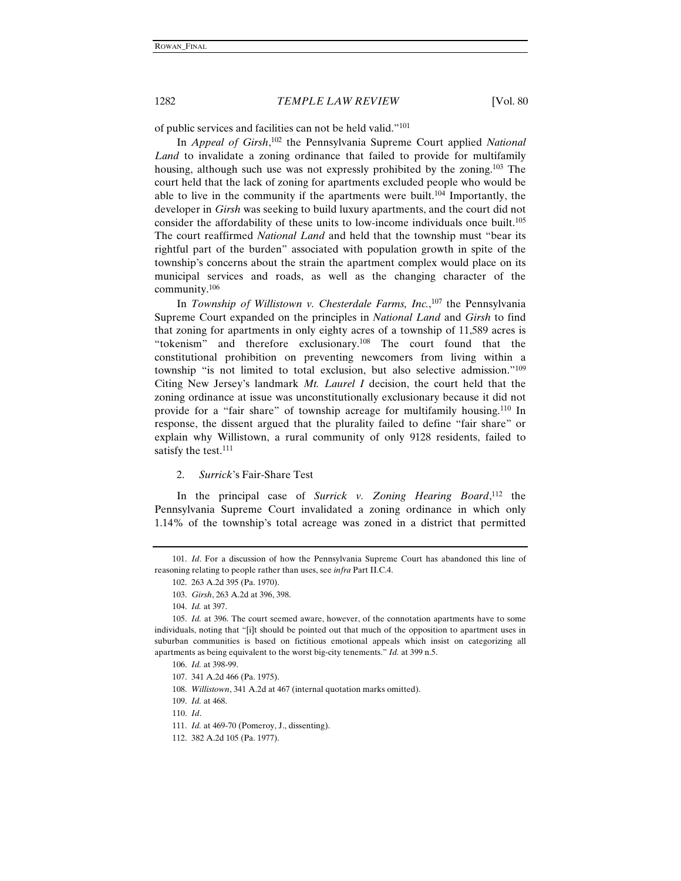of public services and facilities can not be held valid."101

In *Appeal of Girsh*, 102 the Pennsylvania Supreme Court applied *National Land* to invalidate a zoning ordinance that failed to provide for multifamily housing, although such use was not expressly prohibited by the zoning.<sup>103</sup> The court held that the lack of zoning for apartments excluded people who would be able to live in the community if the apartments were built.104 Importantly, the developer in *Girsh* was seeking to build luxury apartments, and the court did not consider the affordability of these units to low-income individuals once built.<sup>105</sup> The court reaffirmed *National Land* and held that the township must "bear its rightful part of the burden" associated with population growth in spite of the township's concerns about the strain the apartment complex would place on its municipal services and roads, as well as the changing character of the community.106

In *Township of Willistown v. Chesterdale Farms, Inc.*, 107 the Pennsylvania Supreme Court expanded on the principles in *National Land* and *Girsh* to find that zoning for apartments in only eighty acres of a township of 11,589 acres is "tokenism" and therefore exclusionary.108 The court found that the constitutional prohibition on preventing newcomers from living within a township "is not limited to total exclusion, but also selective admission."109 Citing New Jersey's landmark *Mt. Laurel I* decision, the court held that the zoning ordinance at issue was unconstitutionally exclusionary because it did not provide for a "fair share" of township acreage for multifamily housing.110 In response, the dissent argued that the plurality failed to define "fair share" or explain why Willistown, a rural community of only 9128 residents, failed to satisfy the test.<sup>111</sup>

2. *Surrick*'s Fair-Share Test

In the principal case of *Surrick v. Zoning Hearing Board*, 112 the Pennsylvania Supreme Court invalidated a zoning ordinance in which only 1.14% of the township's total acreage was zoned in a district that permitted

<sup>101.</sup> *Id*. For a discussion of how the Pennsylvania Supreme Court has abandoned this line of reasoning relating to people rather than uses, see *infra* Part II.C.4.

<sup>102. 263</sup> A.2d 395 (Pa. 1970).

<sup>103.</sup> *Girsh*, 263 A.2d at 396, 398.

<sup>104.</sup> *Id.* at 397.

<sup>105.</sup> *Id.* at 396. The court seemed aware, however, of the connotation apartments have to some individuals, noting that "[i]t should be pointed out that much of the opposition to apartment uses in suburban communities is based on fictitious emotional appeals which insist on categorizing all apartments as being equivalent to the worst big-city tenements." *Id.* at 399 n.5.

<sup>106.</sup> *Id.* at 398-99.

<sup>107. 341</sup> A.2d 466 (Pa. 1975).

<sup>108.</sup> *Willistown*, 341 A.2d at 467 (internal quotation marks omitted).

<sup>109.</sup> *Id.* at 468.

<sup>110.</sup> *Id*.

<sup>111.</sup> *Id.* at 469-70 (Pomeroy, J., dissenting).

<sup>112. 382</sup> A.2d 105 (Pa. 1977).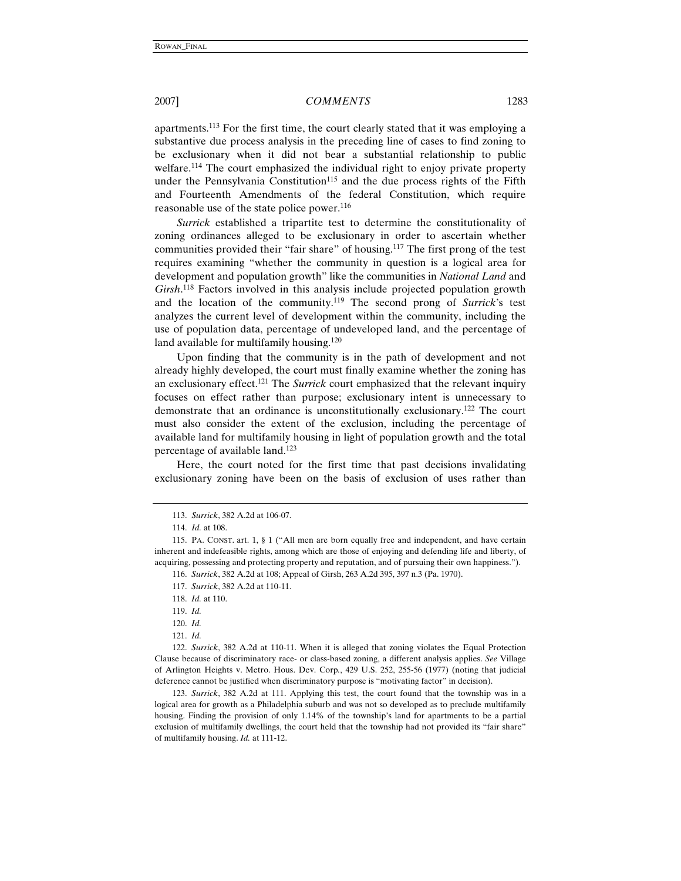apartments.113 For the first time, the court clearly stated that it was employing a substantive due process analysis in the preceding line of cases to find zoning to be exclusionary when it did not bear a substantial relationship to public welfare.114 The court emphasized the individual right to enjoy private property under the Pennsylvania Constitution<sup>115</sup> and the due process rights of the Fifth and Fourteenth Amendments of the federal Constitution, which require reasonable use of the state police power.<sup>116</sup>

*Surrick* established a tripartite test to determine the constitutionality of zoning ordinances alleged to be exclusionary in order to ascertain whether communities provided their "fair share" of housing.117 The first prong of the test requires examining "whether the community in question is a logical area for development and population growth" like the communities in *National Land* and *Girsh*. 118 Factors involved in this analysis include projected population growth and the location of the community.119 The second prong of *Surrick*'s test analyzes the current level of development within the community, including the use of population data, percentage of undeveloped land, and the percentage of land available for multifamily housing.<sup>120</sup>

Upon finding that the community is in the path of development and not already highly developed, the court must finally examine whether the zoning has an exclusionary effect.121 The *Surrick* court emphasized that the relevant inquiry focuses on effect rather than purpose; exclusionary intent is unnecessary to demonstrate that an ordinance is unconstitutionally exclusionary.122 The court must also consider the extent of the exclusion, including the percentage of available land for multifamily housing in light of population growth and the total percentage of available land.123

Here, the court noted for the first time that past decisions invalidating exclusionary zoning have been on the basis of exclusion of uses rather than

121. *Id.*

122. *Surrick*, 382 A.2d at 110-11. When it is alleged that zoning violates the Equal Protection Clause because of discriminatory race- or class-based zoning, a different analysis applies. *See* Village of Arlington Heights v. Metro. Hous. Dev. Corp*.*, 429 U.S. 252, 255-56 (1977) (noting that judicial deference cannot be justified when discriminatory purpose is "motivating factor" in decision).

123. *Surrick*, 382 A.2d at 111. Applying this test, the court found that the township was in a logical area for growth as a Philadelphia suburb and was not so developed as to preclude multifamily housing. Finding the provision of only 1.14% of the township's land for apartments to be a partial exclusion of multifamily dwellings, the court held that the township had not provided its "fair share" of multifamily housing. *Id.* at 111-12.

<sup>113.</sup> *Surrick*, 382 A.2d at 106-07.

<sup>114.</sup> *Id.* at 108.

<sup>115.</sup> PA. CONST. art. 1, § 1 ("All men are born equally free and independent, and have certain inherent and indefeasible rights, among which are those of enjoying and defending life and liberty, of acquiring, possessing and protecting property and reputation, and of pursuing their own happiness.").

<sup>116.</sup> *Surrick*, 382 A.2d at 108; Appeal of Girsh, 263 A.2d 395, 397 n.3 (Pa. 1970).

<sup>117.</sup> *Surrick*, 382 A.2d at 110-11.

<sup>118.</sup> *Id.* at 110.

<sup>119.</sup> *Id.*

<sup>120.</sup> *Id.*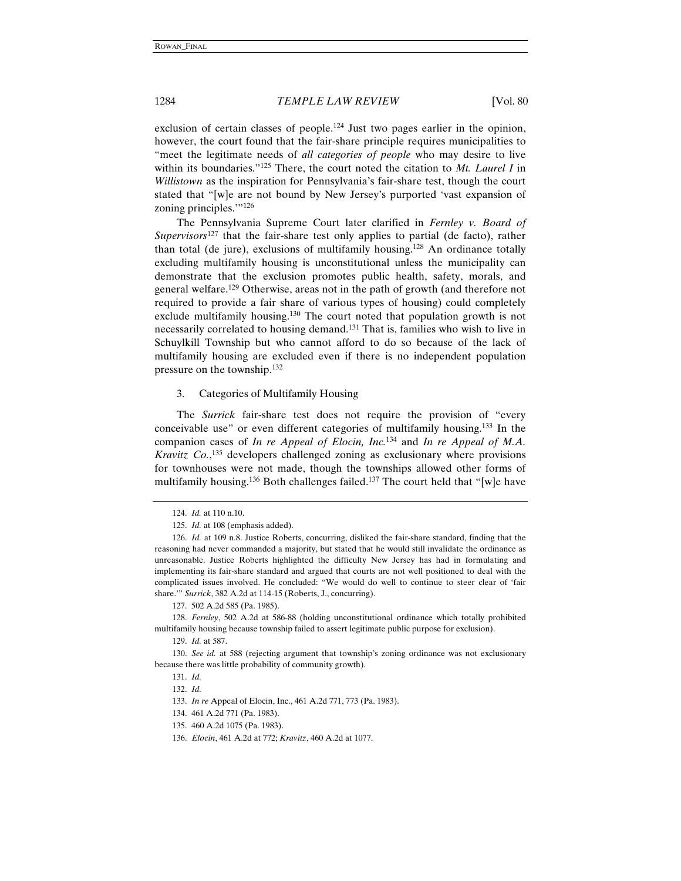exclusion of certain classes of people.<sup>124</sup> Just two pages earlier in the opinion, however, the court found that the fair-share principle requires municipalities to "meet the legitimate needs of *all categories of people* who may desire to live within its boundaries."125 There, the court noted the citation to *Mt. Laurel I* in *Willistown* as the inspiration for Pennsylvania's fair-share test, though the court stated that "[w]e are not bound by New Jersey's purported 'vast expansion of zoning principles."<sup>126</sup>

The Pennsylvania Supreme Court later clarified in *Fernley v. Board of Supervisors*127 that the fair-share test only applies to partial (de facto), rather than total (de jure), exclusions of multifamily housing.128 An ordinance totally excluding multifamily housing is unconstitutional unless the municipality can demonstrate that the exclusion promotes public health, safety, morals, and general welfare.129 Otherwise, areas not in the path of growth (and therefore not required to provide a fair share of various types of housing) could completely exclude multifamily housing.<sup>130</sup> The court noted that population growth is not necessarily correlated to housing demand.131 That is, families who wish to live in Schuylkill Township but who cannot afford to do so because of the lack of multifamily housing are excluded even if there is no independent population pressure on the township.132

#### 3. Categories of Multifamily Housing

The *Surrick* fair-share test does not require the provision of "every conceivable use" or even different categories of multifamily housing.133 In the companion cases of *In re Appeal of Elocin, Inc.*134 and *In re Appeal of M.A. Kravitz Co.*, 135 developers challenged zoning as exclusionary where provisions for townhouses were not made, though the townships allowed other forms of multifamily housing.<sup>136</sup> Both challenges failed.<sup>137</sup> The court held that "[w]e have

<sup>124.</sup> *Id.* at 110 n.10.

<sup>125.</sup> *Id.* at 108 (emphasis added).

<sup>126.</sup> *Id.* at 109 n.8. Justice Roberts, concurring, disliked the fair-share standard, finding that the reasoning had never commanded a majority, but stated that he would still invalidate the ordinance as unreasonable. Justice Roberts highlighted the difficulty New Jersey has had in formulating and implementing its fair-share standard and argued that courts are not well positioned to deal with the complicated issues involved. He concluded: "We would do well to continue to steer clear of 'fair share.'" *Surrick*, 382 A.2d at 114-15 (Roberts, J., concurring).

<sup>127. 502</sup> A.2d 585 (Pa. 1985).

<sup>128.</sup> *Fernley*, 502 A.2d at 586-88 (holding unconstitutional ordinance which totally prohibited multifamily housing because township failed to assert legitimate public purpose for exclusion).

<sup>129.</sup> *Id.* at 587.

<sup>130.</sup> *See id.* at 588 (rejecting argument that township's zoning ordinance was not exclusionary because there was little probability of community growth).

<sup>131.</sup> *Id.*

<sup>132.</sup> *Id.*

<sup>133.</sup> *In re* Appeal of Elocin, Inc., 461 A.2d 771, 773 (Pa. 1983).

<sup>134. 461</sup> A.2d 771 (Pa. 1983).

<sup>135. 460</sup> A.2d 1075 (Pa. 1983).

<sup>136.</sup> *Elocin*, 461 A.2d at 772; *Kravitz*, 460 A.2d at 1077.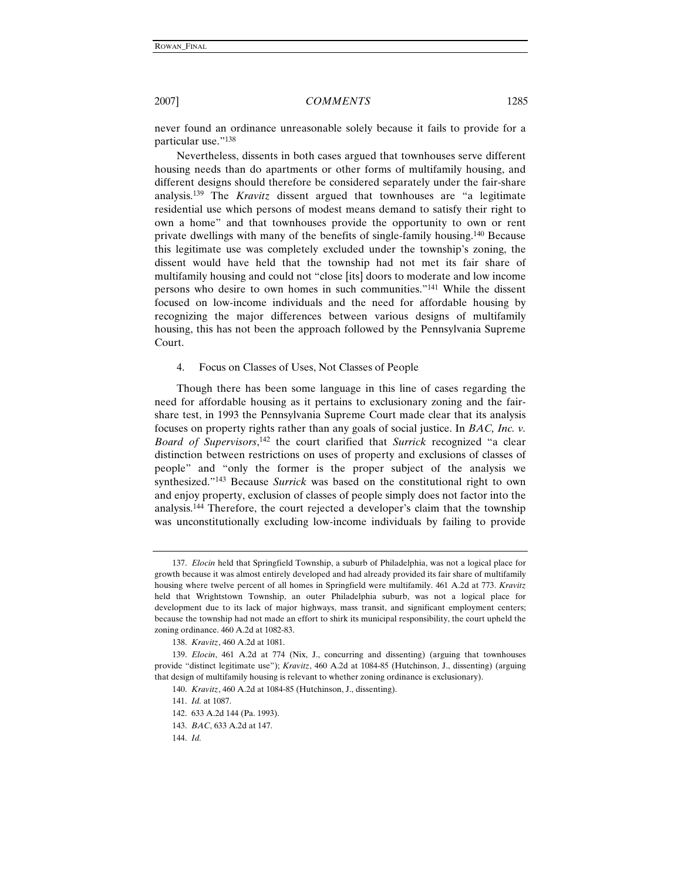never found an ordinance unreasonable solely because it fails to provide for a particular use."138

Nevertheless, dissents in both cases argued that townhouses serve different housing needs than do apartments or other forms of multifamily housing, and different designs should therefore be considered separately under the fair-share analysis.139 The *Kravitz* dissent argued that townhouses are "a legitimate residential use which persons of modest means demand to satisfy their right to own a home" and that townhouses provide the opportunity to own or rent private dwellings with many of the benefits of single-family housing.140 Because this legitimate use was completely excluded under the township's zoning, the dissent would have held that the township had not met its fair share of multifamily housing and could not "close [its] doors to moderate and low income persons who desire to own homes in such communities."141 While the dissent focused on low-income individuals and the need for affordable housing by recognizing the major differences between various designs of multifamily housing, this has not been the approach followed by the Pennsylvania Supreme Court.

### 4. Focus on Classes of Uses, Not Classes of People

Though there has been some language in this line of cases regarding the need for affordable housing as it pertains to exclusionary zoning and the fairshare test, in 1993 the Pennsylvania Supreme Court made clear that its analysis focuses on property rights rather than any goals of social justice. In *BAC, Inc. v. Board of Supervisors*, 142 the court clarified that *Surrick* recognized "a clear distinction between restrictions on uses of property and exclusions of classes of people" and "only the former is the proper subject of the analysis we synthesized."143 Because *Surrick* was based on the constitutional right to own and enjoy property, exclusion of classes of people simply does not factor into the analysis.144 Therefore, the court rejected a developer's claim that the township was unconstitutionally excluding low-income individuals by failing to provide

<sup>137.</sup> *Elocin* held that Springfield Township, a suburb of Philadelphia, was not a logical place for growth because it was almost entirely developed and had already provided its fair share of multifamily housing where twelve percent of all homes in Springfield were multifamily. 461 A.2d at 773. *Kravitz* held that Wrightstown Township, an outer Philadelphia suburb, was not a logical place for development due to its lack of major highways, mass transit, and significant employment centers; because the township had not made an effort to shirk its municipal responsibility, the court upheld the zoning ordinance. 460 A.2d at 1082-83.

<sup>138.</sup> *Kravitz*, 460 A.2d at 1081.

<sup>139.</sup> *Elocin*, 461 A.2d at 774 (Nix, J., concurring and dissenting) (arguing that townhouses provide "distinct legitimate use"); *Kravitz*, 460 A.2d at 1084-85 (Hutchinson, J., dissenting) (arguing that design of multifamily housing is relevant to whether zoning ordinance is exclusionary).

<sup>140.</sup> *Kravitz*, 460 A.2d at 1084-85 (Hutchinson, J., dissenting).

<sup>141.</sup> *Id.* at 1087.

<sup>142. 633</sup> A.2d 144 (Pa. 1993).

<sup>143.</sup> *BAC*, 633 A.2d at 147.

<sup>144.</sup> *Id.*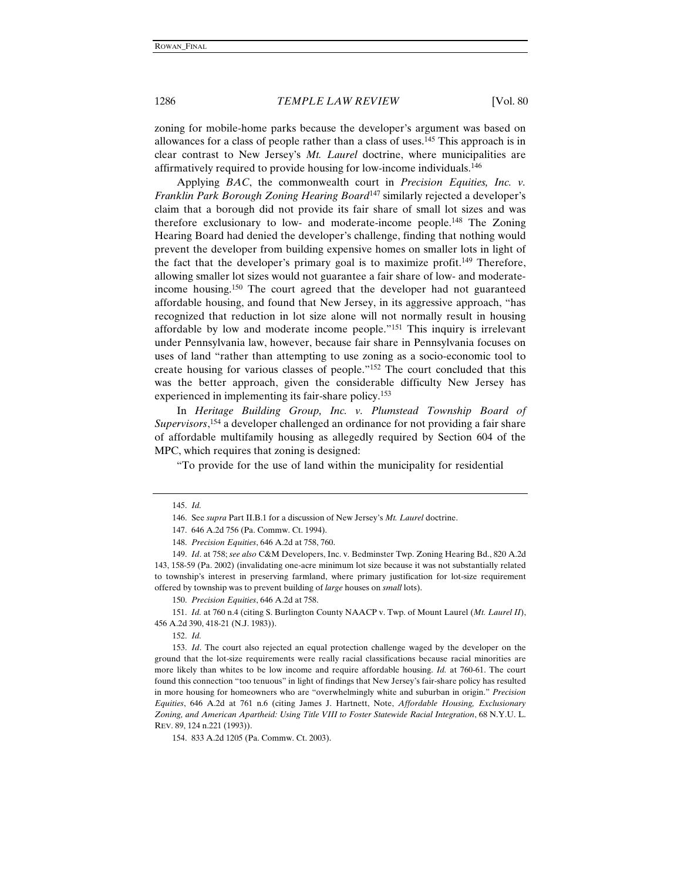zoning for mobile-home parks because the developer's argument was based on allowances for a class of people rather than a class of uses.145 This approach is in clear contrast to New Jersey's *Mt. Laurel* doctrine, where municipalities are affirmatively required to provide housing for low-income individuals.146

Applying *BAC*, the commonwealth court in *Precision Equities, Inc. v. Franklin Park Borough Zoning Hearing Board*147 similarly rejected a developer's claim that a borough did not provide its fair share of small lot sizes and was therefore exclusionary to low- and moderate-income people.148 The Zoning Hearing Board had denied the developer's challenge, finding that nothing would prevent the developer from building expensive homes on smaller lots in light of the fact that the developer's primary goal is to maximize profit.149 Therefore, allowing smaller lot sizes would not guarantee a fair share of low- and moderateincome housing.150 The court agreed that the developer had not guaranteed affordable housing, and found that New Jersey, in its aggressive approach, "has recognized that reduction in lot size alone will not normally result in housing affordable by low and moderate income people."151 This inquiry is irrelevant under Pennsylvania law, however, because fair share in Pennsylvania focuses on uses of land "rather than attempting to use zoning as a socio-economic tool to create housing for various classes of people."152 The court concluded that this was the better approach, given the considerable difficulty New Jersey has experienced in implementing its fair-share policy.<sup>153</sup>

In *Heritage Building Group, Inc. v. Plumstead Township Board of Supervisors*, 154 a developer challenged an ordinance for not providing a fair share of affordable multifamily housing as allegedly required by Section 604 of the MPC, which requires that zoning is designed:

"To provide for the use of land within the municipality for residential

150. *Precision Equities*, 646 A.2d at 758.

151. *Id.* at 760 n.4 (citing S. Burlington County NAACP v. Twp. of Mount Laurel (*Mt. Laurel II*), 456 A.2d 390, 418-21 (N.J. 1983)).

152. *Id.*

<sup>145.</sup> *Id.*

<sup>146.</sup> See *supra* Part II.B.1 for a discussion of New Jersey's *Mt. Laurel* doctrine.

<sup>147. 646</sup> A.2d 756 (Pa. Commw. Ct. 1994).

<sup>148.</sup> *Precision Equities*, 646 A.2d at 758, 760.

<sup>149.</sup> *Id*. at 758; *see also* C&M Developers, Inc. v. Bedminster Twp. Zoning Hearing Bd., 820 A.2d 143, 158-59 (Pa. 2002) (invalidating one-acre minimum lot size because it was not substantially related to township's interest in preserving farmland, where primary justification for lot-size requirement offered by township was to prevent building of *large* houses on *small* lots).

<sup>153.</sup> *Id*. The court also rejected an equal protection challenge waged by the developer on the ground that the lot-size requirements were really racial classifications because racial minorities are more likely than whites to be low income and require affordable housing. *Id.* at 760-61. The court found this connection "too tenuous" in light of findings that New Jersey's fair-share policy has resulted in more housing for homeowners who are "overwhelmingly white and suburban in origin." *Precision Equities*, 646 A.2d at 761 n.6 (citing James J. Hartnett, Note, *Affordable Housing, Exclusionary Zoning, and American Apartheid: Using Title VIII to Foster Statewide Racial Integration*, 68 N.Y.U. L. REV. 89, 124 n.221 (1993)).

<sup>154. 833</sup> A.2d 1205 (Pa. Commw. Ct. 2003).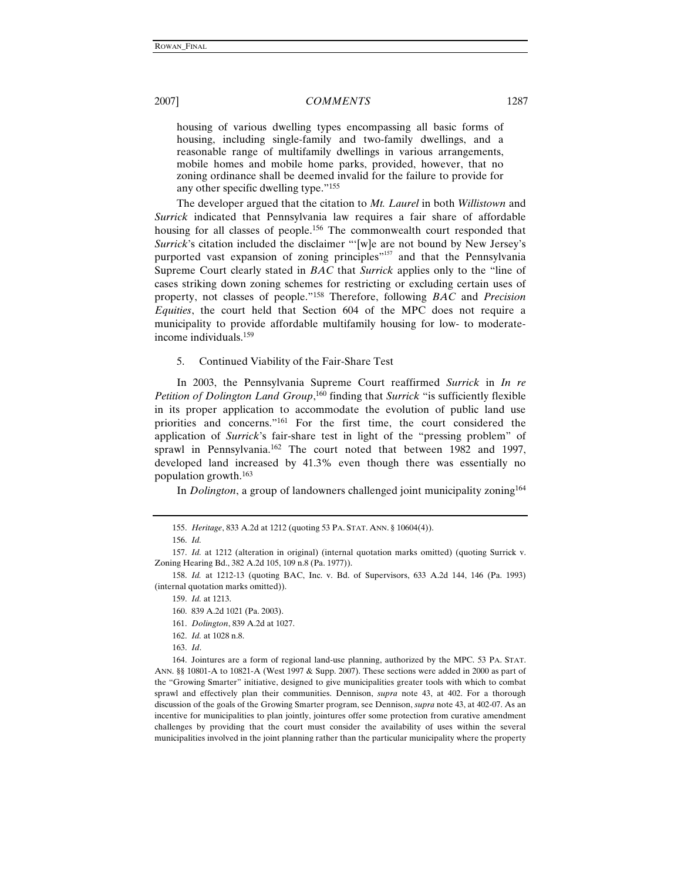housing of various dwelling types encompassing all basic forms of housing, including single-family and two-family dwellings, and a reasonable range of multifamily dwellings in various arrangements, mobile homes and mobile home parks, provided, however, that no zoning ordinance shall be deemed invalid for the failure to provide for any other specific dwelling type."155

The developer argued that the citation to *Mt. Laurel* in both *Willistown* and *Surrick* indicated that Pennsylvania law requires a fair share of affordable housing for all classes of people.<sup>156</sup> The commonwealth court responded that *Surrick*'s citation included the disclaimer "'[w]e are not bound by New Jersey's purported vast expansion of zoning principles"<sup>157</sup> and that the Pennsylvania Supreme Court clearly stated in *BAC* that *Surrick* applies only to the "line of cases striking down zoning schemes for restricting or excluding certain uses of property, not classes of people."158 Therefore, following *BAC* and *Precision Equities*, the court held that Section 604 of the MPC does not require a municipality to provide affordable multifamily housing for low- to moderateincome individuals.159

5. Continued Viability of the Fair-Share Test

In 2003, the Pennsylvania Supreme Court reaffirmed *Surrick* in *In re Petition of Dolington Land Group*, 160 finding that *Surrick* "is sufficiently flexible in its proper application to accommodate the evolution of public land use priorities and concerns."161 For the first time, the court considered the application of *Surrick*'s fair-share test in light of the "pressing problem" of sprawl in Pennsylvania.162 The court noted that between 1982 and 1997, developed land increased by 41.3% even though there was essentially no population growth.163

In *Dolington*, a group of landowners challenged joint municipality zoning<sup>164</sup>

- 161. *Dolington*, 839 A.2d at 1027.
- 162. *Id.* at 1028 n.8.
- 163. *Id*.

164. Jointures are a form of regional land-use planning, authorized by the MPC. 53 PA. STAT. ANN. §§ 10801-A to 10821-A (West 1997 & Supp. 2007). These sections were added in 2000 as part of the "Growing Smarter" initiative, designed to give municipalities greater tools with which to combat sprawl and effectively plan their communities. Dennison, *supra* note 43, at 402. For a thorough discussion of the goals of the Growing Smarter program, see Dennison, *supra* note 43, at 402-07. As an incentive for municipalities to plan jointly, jointures offer some protection from curative amendment challenges by providing that the court must consider the availability of uses within the several municipalities involved in the joint planning rather than the particular municipality where the property

<sup>155.</sup> *Heritage*, 833 A.2d at 1212 (quoting 53 PA. STAT. ANN. § 10604(4)).

<sup>156.</sup> *Id.*

<sup>157.</sup> *Id.* at 1212 (alteration in original) (internal quotation marks omitted) (quoting Surrick v. Zoning Hearing Bd., 382 A.2d 105, 109 n.8 (Pa. 1977)).

<sup>158.</sup> *Id.* at 1212-13 (quoting BAC, Inc. v. Bd. of Supervisors, 633 A.2d 144, 146 (Pa. 1993) (internal quotation marks omitted)).

<sup>159.</sup> *Id.* at 1213.

<sup>160. 839</sup> A.2d 1021 (Pa. 2003).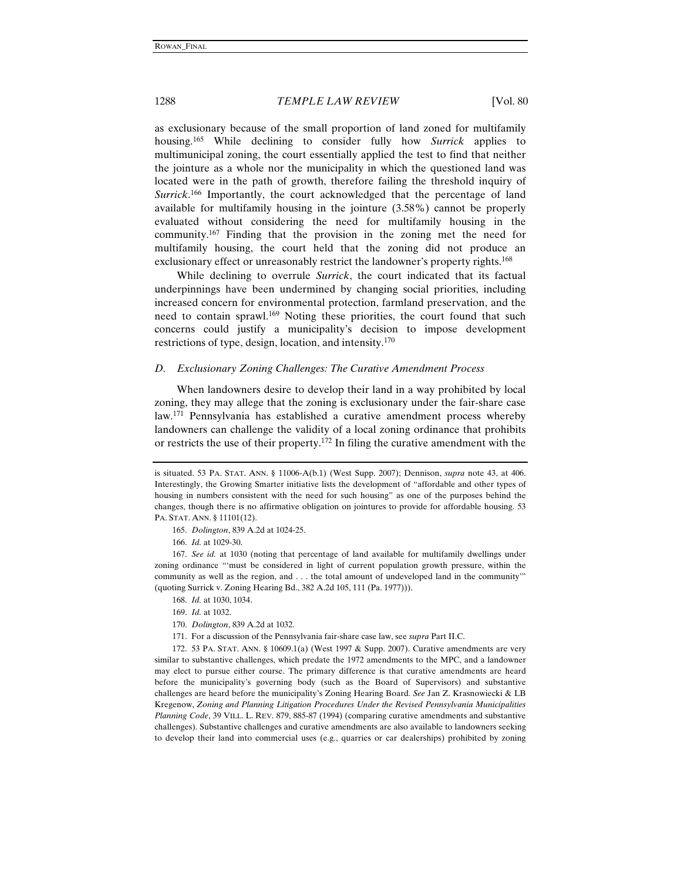as exclusionary because of the small proportion of land zoned for multifamily housing.165 While declining to consider fully how *Surrick* applies to multimunicipal zoning, the court essentially applied the test to find that neither the jointure as a whole nor the municipality in which the questioned land was located were in the path of growth, therefore failing the threshold inquiry of *Surrick*. 166 Importantly, the court acknowledged that the percentage of land available for multifamily housing in the jointure (3.58%) cannot be properly evaluated without considering the need for multifamily housing in the community.167 Finding that the provision in the zoning met the need for multifamily housing, the court held that the zoning did not produce an exclusionary effect or unreasonably restrict the landowner's property rights.<sup>168</sup>

While declining to overrule *Surrick*, the court indicated that its factual underpinnings have been undermined by changing social priorities, including increased concern for environmental protection, farmland preservation, and the need to contain sprawl.169 Noting these priorities, the court found that such concerns could justify a municipality's decision to impose development restrictions of type, design, location, and intensity.170

#### *D. Exclusionary Zoning Challenges: The Curative Amendment Process*

When landowners desire to develop their land in a way prohibited by local zoning, they may allege that the zoning is exclusionary under the fair-share case law.171 Pennsylvania has established a curative amendment process whereby landowners can challenge the validity of a local zoning ordinance that prohibits or restricts the use of their property.172 In filing the curative amendment with the

165. *Dolington*, 839 A.2d at 1024-25.

- 170. *Dolington*, 839 A.2d at 1032.
- 171. For a discussion of the Pennsylvania fair-share case law, see *supra* Part II.C.

172. 53 PA. STAT. ANN. § 10609.1(a) (West 1997 & Supp. 2007). Curative amendments are very similar to substantive challenges, which predate the 1972 amendments to the MPC, and a landowner may elect to pursue either course. The primary difference is that curative amendments are heard before the municipality's governing body (such as the Board of Supervisors) and substantive challenges are heard before the municipality's Zoning Hearing Board. *See* Jan Z. Krasnowiecki & LB Kregenow, *Zoning and Planning Litigation Procedures Under the Revised Pennsylvania Municipalities Planning Code*, 39 VILL. L. REV. 879, 885-87 (1994) (comparing curative amendments and substantive challenges). Substantive challenges and curative amendments are also available to landowners seeking to develop their land into commercial uses (e.g., quarries or car dealerships) prohibited by zoning

is situated. 53 PA. STAT. ANN. § 11006-A(b.1) (West Supp. 2007); Dennison, *supra* note 43, at 406. Interestingly, the Growing Smarter initiative lists the development of "affordable and other types of housing in numbers consistent with the need for such housing" as one of the purposes behind the changes, though there is no affirmative obligation on jointures to provide for affordable housing. 53 PA. STAT. ANN. § 11101(12).

<sup>166.</sup> *Id.* at 1029-30.

<sup>167.</sup> *See id.* at 1030 (noting that percentage of land available for multifamily dwellings under zoning ordinance "'must be considered in light of current population growth pressure, within the community as well as the region, and . . . the total amount of undeveloped land in the community'" (quoting Surrick v. Zoning Hearing Bd., 382 A.2d 105, 111 (Pa. 1977))).

<sup>168.</sup> *Id.* at 1030, 1034.

<sup>169.</sup> *Id.* at 1032.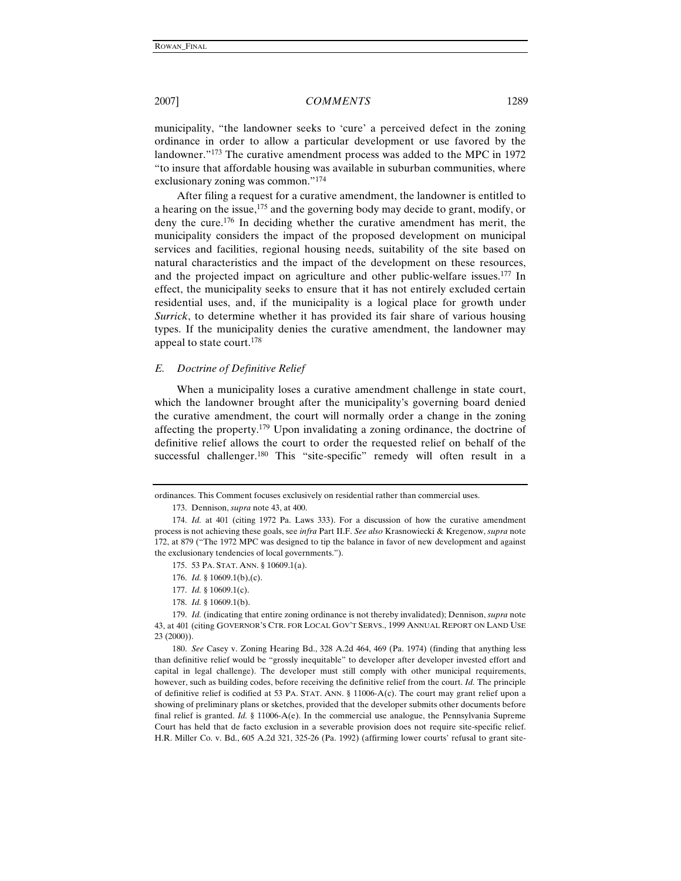municipality, "the landowner seeks to 'cure' a perceived defect in the zoning ordinance in order to allow a particular development or use favored by the landowner."173 The curative amendment process was added to the MPC in 1972 "to insure that affordable housing was available in suburban communities, where exclusionary zoning was common."174

After filing a request for a curative amendment, the landowner is entitled to a hearing on the issue,<sup>175</sup> and the governing body may decide to grant, modify, or deny the cure.176 In deciding whether the curative amendment has merit, the municipality considers the impact of the proposed development on municipal services and facilities, regional housing needs, suitability of the site based on natural characteristics and the impact of the development on these resources, and the projected impact on agriculture and other public-welfare issues.177 In effect, the municipality seeks to ensure that it has not entirely excluded certain residential uses, and, if the municipality is a logical place for growth under *Surrick*, to determine whether it has provided its fair share of various housing types. If the municipality denies the curative amendment, the landowner may appeal to state court.178

### *E. Doctrine of Definitive Relief*

When a municipality loses a curative amendment challenge in state court, which the landowner brought after the municipality's governing board denied the curative amendment, the court will normally order a change in the zoning affecting the property.179 Upon invalidating a zoning ordinance, the doctrine of definitive relief allows the court to order the requested relief on behalf of the successful challenger.<sup>180</sup> This "site-specific" remedy will often result in a

178. *Id.* § 10609.1(b).

180. *See* Casey v. Zoning Hearing Bd., 328 A.2d 464, 469 (Pa. 1974) (finding that anything less than definitive relief would be "grossly inequitable" to developer after developer invested effort and capital in legal challenge). The developer must still comply with other municipal requirements, however, such as building codes, before receiving the definitive relief from the court. *Id.* The principle of definitive relief is codified at 53 PA. STAT. ANN. § 11006-A(c). The court may grant relief upon a showing of preliminary plans or sketches, provided that the developer submits other documents before final relief is granted. *Id.* § 11006-A(e). In the commercial use analogue, the Pennsylvania Supreme Court has held that de facto exclusion in a severable provision does not require site-specific relief. H.R. Miller Co. v. Bd., 605 A.2d 321, 325-26 (Pa. 1992) (affirming lower courts' refusal to grant site-

ordinances. This Comment focuses exclusively on residential rather than commercial uses.

<sup>173.</sup> Dennison, *supra* note 43, at 400.

<sup>174.</sup> *Id.* at 401 (citing 1972 Pa. Laws 333). For a discussion of how the curative amendment process is not achieving these goals, see *infra* Part II.F. *See also* Krasnowiecki & Kregenow, *supra* note 172, at 879 ("The 1972 MPC was designed to tip the balance in favor of new development and against the exclusionary tendencies of local governments.").

<sup>175. 53</sup> PA. STAT. ANN. § 10609.1(a).

<sup>176.</sup> *Id.* § 10609.1(b),(c).

<sup>177.</sup> *Id.* § 10609.1(c).

<sup>179.</sup> *Id.* (indicating that entire zoning ordinance is not thereby invalidated); Dennison, *supra* note 43, at 401 (citing GOVERNOR'S CTR. FOR LOCAL GOV'T SERVS., 1999 ANNUAL REPORT ON LAND USE 23 (2000)).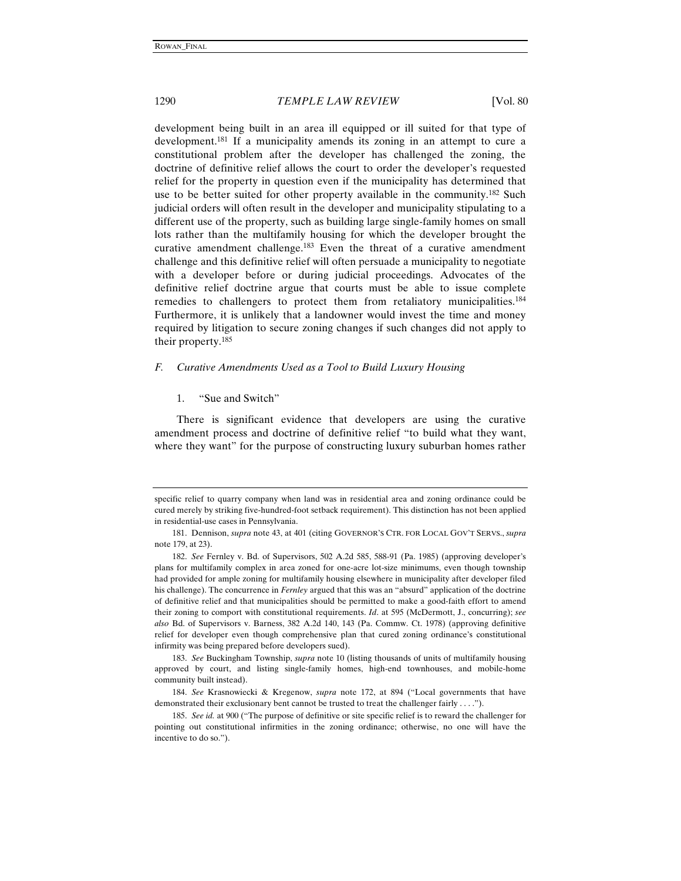development being built in an area ill equipped or ill suited for that type of development.<sup>181</sup> If a municipality amends its zoning in an attempt to cure a constitutional problem after the developer has challenged the zoning, the doctrine of definitive relief allows the court to order the developer's requested relief for the property in question even if the municipality has determined that use to be better suited for other property available in the community.<sup>182</sup> Such judicial orders will often result in the developer and municipality stipulating to a different use of the property, such as building large single-family homes on small lots rather than the multifamily housing for which the developer brought the curative amendment challenge.<sup>183</sup> Even the threat of a curative amendment challenge and this definitive relief will often persuade a municipality to negotiate with a developer before or during judicial proceedings. Advocates of the definitive relief doctrine argue that courts must be able to issue complete remedies to challengers to protect them from retaliatory municipalities.<sup>184</sup> Furthermore, it is unlikely that a landowner would invest the time and money required by litigation to secure zoning changes if such changes did not apply to their property.185

### *F. Curative Amendments Used as a Tool to Build Luxury Housing*

#### 1. "Sue and Switch"

There is significant evidence that developers are using the curative amendment process and doctrine of definitive relief "to build what they want, where they want" for the purpose of constructing luxury suburban homes rather

specific relief to quarry company when land was in residential area and zoning ordinance could be cured merely by striking five-hundred-foot setback requirement). This distinction has not been applied in residential-use cases in Pennsylvania.

<sup>181.</sup> Dennison, *supra* note 43, at 401 (citing GOVERNOR'S CTR. FOR LOCAL GOV'T SERVS., *supra*  note 179, at 23).

<sup>182.</sup> *See* Fernley v. Bd. of Supervisors, 502 A.2d 585, 588-91 (Pa. 1985) (approving developer's plans for multifamily complex in area zoned for one-acre lot-size minimums, even though township had provided for ample zoning for multifamily housing elsewhere in municipality after developer filed his challenge). The concurrence in *Fernley* argued that this was an "absurd" application of the doctrine of definitive relief and that municipalities should be permitted to make a good-faith effort to amend their zoning to comport with constitutional requirements. *Id*. at 595 (McDermott, J., concurring); *see also* Bd. of Supervisors v. Barness, 382 A.2d 140, 143 (Pa. Commw. Ct. 1978) (approving definitive relief for developer even though comprehensive plan that cured zoning ordinance's constitutional infirmity was being prepared before developers sued).

<sup>183.</sup> *See* Buckingham Township, *supra* note 10 (listing thousands of units of multifamily housing approved by court, and listing single-family homes, high-end townhouses, and mobile-home community built instead).

<sup>184.</sup> *See* Krasnowiecki & Kregenow, *supra* note 172, at 894 ("Local governments that have demonstrated their exclusionary bent cannot be trusted to treat the challenger fairly . . . .").

<sup>185.</sup> *See id.* at 900 ("The purpose of definitive or site specific relief is to reward the challenger for pointing out constitutional infirmities in the zoning ordinance; otherwise, no one will have the incentive to do so.").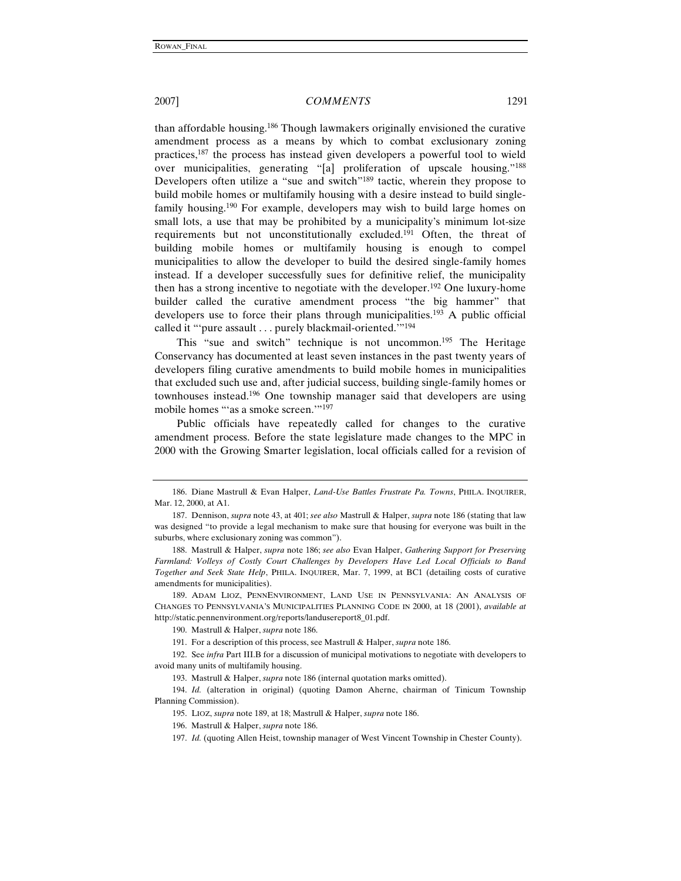than affordable housing.186 Though lawmakers originally envisioned the curative amendment process as a means by which to combat exclusionary zoning practices,187 the process has instead given developers a powerful tool to wield over municipalities, generating "[a] proliferation of upscale housing."188 Developers often utilize a "sue and switch"<sup>189</sup> tactic, wherein they propose to build mobile homes or multifamily housing with a desire instead to build singlefamily housing.190 For example, developers may wish to build large homes on small lots, a use that may be prohibited by a municipality's minimum lot-size requirements but not unconstitutionally excluded.191 Often, the threat of building mobile homes or multifamily housing is enough to compel municipalities to allow the developer to build the desired single-family homes instead. If a developer successfully sues for definitive relief, the municipality then has a strong incentive to negotiate with the developer.<sup>192</sup> One luxury-home builder called the curative amendment process "the big hammer" that developers use to force their plans through municipalities.<sup>193</sup> A public official called it "'pure assault . . . purely blackmail-oriented.'"194

This "sue and switch" technique is not uncommon.195 The Heritage Conservancy has documented at least seven instances in the past twenty years of developers filing curative amendments to build mobile homes in municipalities that excluded such use and, after judicial success, building single-family homes or townhouses instead.196 One township manager said that developers are using mobile homes "'as a smoke screen.'"197

Public officials have repeatedly called for changes to the curative amendment process. Before the state legislature made changes to the MPC in 2000 with the Growing Smarter legislation, local officials called for a revision of

<sup>186.</sup> Diane Mastrull & Evan Halper, *Land-Use Battles Frustrate Pa. Towns*, PHILA. INQUIRER, Mar. 12, 2000, at A1.

<sup>187.</sup> Dennison, *supra* note 43, at 401; *see also* Mastrull & Halper, *supra* note 186 (stating that law was designed "to provide a legal mechanism to make sure that housing for everyone was built in the suburbs, where exclusionary zoning was common").

<sup>188.</sup> Mastrull & Halper, *supra* note 186; *see also* Evan Halper, *Gathering Support for Preserving Farmland: Volleys of Costly Court Challenges by Developers Have Led Local Officials to Band Together and Seek State Help*, PHILA. INQUIRER, Mar. 7, 1999, at BC1 (detailing costs of curative amendments for municipalities).

<sup>189.</sup> ADAM LIOZ, PENNENVIRONMENT, LAND USE IN PENNSYLVANIA: AN ANALYSIS OF CHANGES TO PENNSYLVANIA'S MUNICIPALITIES PLANNING CODE IN 2000, at 18 (2001), *available at* http://static.pennenvironment.org/reports/landusereport8\_01.pdf.

<sup>190.</sup> Mastrull & Halper, *supra* note 186.

<sup>191.</sup> For a description of this process, see Mastrull & Halper, *supra* note 186.

<sup>192.</sup> See *infra* Part III.B for a discussion of municipal motivations to negotiate with developers to avoid many units of multifamily housing.

<sup>193.</sup> Mastrull & Halper, *supra* note 186 (internal quotation marks omitted).

<sup>194.</sup> *Id.* (alteration in original) (quoting Damon Aherne, chairman of Tinicum Township Planning Commission).

<sup>195.</sup> LIOZ, *supra* note 189, at 18; Mastrull & Halper, *supra* note 186.

<sup>196.</sup> Mastrull & Halper, *supra* note 186.

<sup>197.</sup> *Id.* (quoting Allen Heist, township manager of West Vincent Township in Chester County).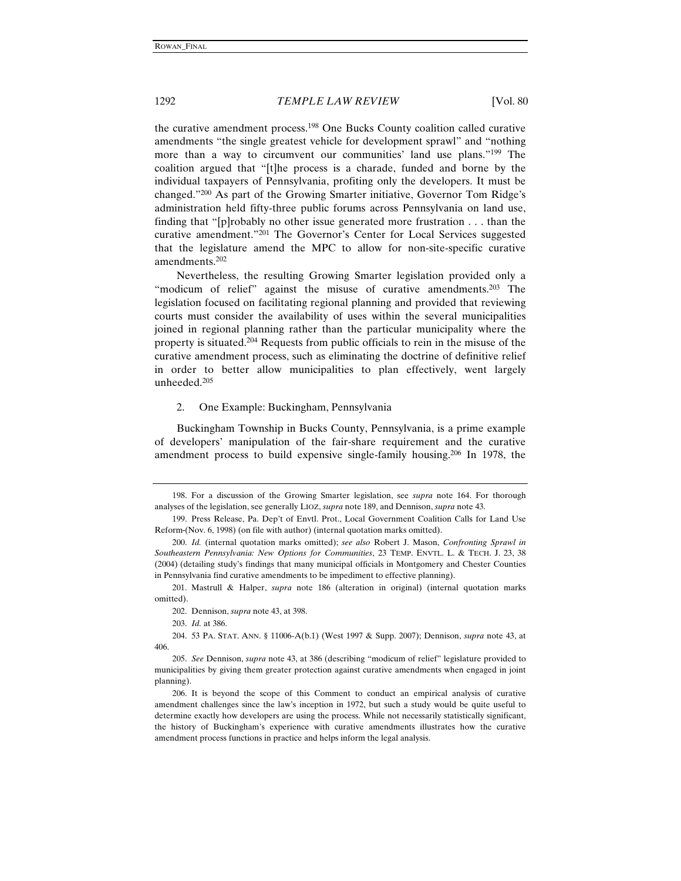the curative amendment process.198 One Bucks County coalition called curative amendments "the single greatest vehicle for development sprawl" and "nothing more than a way to circumvent our communities' land use plans."<sup>199</sup> The coalition argued that "[t]he process is a charade, funded and borne by the individual taxpayers of Pennsylvania, profiting only the developers. It must be changed."200 As part of the Growing Smarter initiative, Governor Tom Ridge's administration held fifty-three public forums across Pennsylvania on land use, finding that "[p]robably no other issue generated more frustration . . . than the curative amendment."201 The Governor's Center for Local Services suggested that the legislature amend the MPC to allow for non-site-specific curative amendments.202

Nevertheless, the resulting Growing Smarter legislation provided only a "modicum of relief" against the misuse of curative amendments.203 The legislation focused on facilitating regional planning and provided that reviewing courts must consider the availability of uses within the several municipalities joined in regional planning rather than the particular municipality where the property is situated.204 Requests from public officials to rein in the misuse of the curative amendment process, such as eliminating the doctrine of definitive relief in order to better allow municipalities to plan effectively, went largely unheeded.205

#### 2. One Example: Buckingham, Pennsylvania

Buckingham Township in Bucks County, Pennsylvania, is a prime example of developers' manipulation of the fair-share requirement and the curative amendment process to build expensive single-family housing.206 In 1978, the

<sup>198.</sup> For a discussion of the Growing Smarter legislation, see *supra* note 164. For thorough analyses of the legislation, see generally LIOZ, *supra* note 189, and Dennison, *supra* note 43.

<sup>199.</sup> Press Release, Pa. Dep't of Envtl. Prot., Local Government Coalition Calls for Land Use Reform (Nov. 6, 1998) (on file with author) (internal quotation marks omitted).

<sup>200.</sup> *Id.* (internal quotation marks omitted); *see also* Robert J. Mason, *Confronting Sprawl in Southeastern Pennsylvania: New Options for Communities*, 23 TEMP. ENVTL. L. & TECH. J. 23, 38 (2004) (detailing study's findings that many municipal officials in Montgomery and Chester Counties in Pennsylvania find curative amendments to be impediment to effective planning).

<sup>201.</sup> Mastrull & Halper, *supra* note 186 (alteration in original) (internal quotation marks omitted).

<sup>202.</sup> Dennison, *supra* note 43, at 398.

<sup>203.</sup> *Id.* at 386.

<sup>204. 53</sup> PA. STAT. ANN. § 11006-A(b.1) (West 1997 & Supp. 2007); Dennison, *supra* note 43, at 406.

<sup>205.</sup> *See* Dennison, *supra* note 43, at 386 (describing "modicum of relief" legislature provided to municipalities by giving them greater protection against curative amendments when engaged in joint planning).

<sup>206.</sup> It is beyond the scope of this Comment to conduct an empirical analysis of curative amendment challenges since the law's inception in 1972, but such a study would be quite useful to determine exactly how developers are using the process. While not necessarily statistically significant, the history of Buckingham's experience with curative amendments illustrates how the curative amendment process functions in practice and helps inform the legal analysis.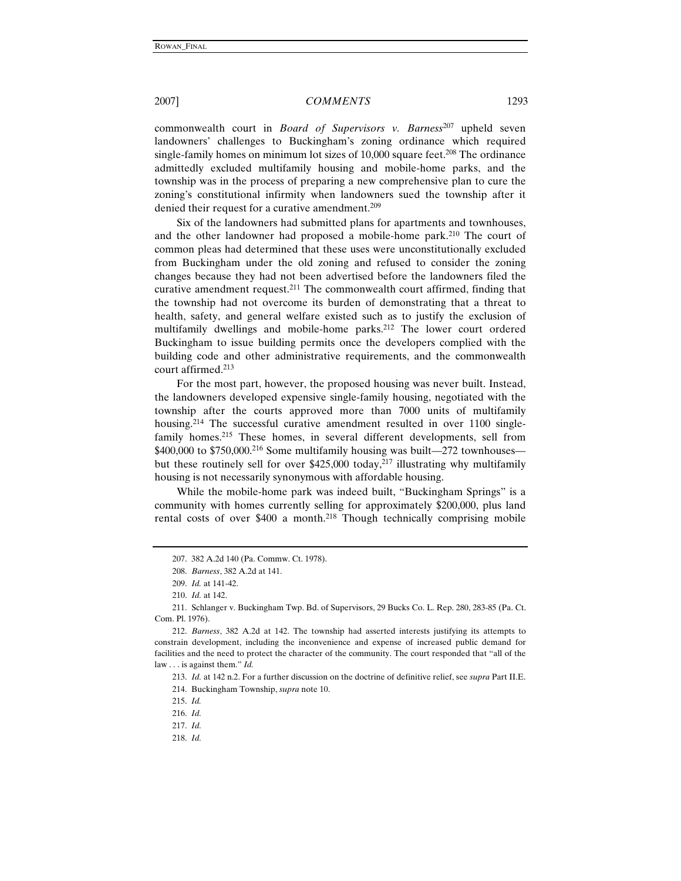commonwealth court in *Board of Supervisors v. Barness<sup>207</sup>* upheld seven landowners' challenges to Buckingham's zoning ordinance which required single-family homes on minimum lot sizes of  $10,000$  square feet.<sup>208</sup> The ordinance admittedly excluded multifamily housing and mobile-home parks, and the township was in the process of preparing a new comprehensive plan to cure the zoning's constitutional infirmity when landowners sued the township after it denied their request for a curative amendment.<sup>209</sup>

Six of the landowners had submitted plans for apartments and townhouses, and the other landowner had proposed a mobile-home park.210 The court of common pleas had determined that these uses were unconstitutionally excluded from Buckingham under the old zoning and refused to consider the zoning changes because they had not been advertised before the landowners filed the curative amendment request.211 The commonwealth court affirmed, finding that the township had not overcome its burden of demonstrating that a threat to health, safety, and general welfare existed such as to justify the exclusion of multifamily dwellings and mobile-home parks.<sup>212</sup> The lower court ordered Buckingham to issue building permits once the developers complied with the building code and other administrative requirements, and the commonwealth court affirmed.213

For the most part, however, the proposed housing was never built. Instead, the landowners developed expensive single-family housing, negotiated with the township after the courts approved more than 7000 units of multifamily housing.<sup>214</sup> The successful curative amendment resulted in over 1100 singlefamily homes.<sup>215</sup> These homes, in several different developments, sell from  $$400,000$  to  $$750,000$ .<sup>216</sup> Some multifamily housing was built—272 townhouses but these routinely sell for over \$425,000 today,<sup>217</sup> illustrating why multifamily housing is not necessarily synonymous with affordable housing.

While the mobile-home park was indeed built, "Buckingham Springs" is a community with homes currently selling for approximately \$200,000, plus land rental costs of over \$400 a month.<sup>218</sup> Though technically comprising mobile

<sup>207. 382</sup> A.2d 140 (Pa. Commw. Ct. 1978).

<sup>208.</sup> *Barness*, 382 A.2d at 141.

<sup>209.</sup> *Id.* at 141-42.

<sup>210.</sup> *Id.* at 142.

<sup>211.</sup> Schlanger v. Buckingham Twp. Bd. of Supervisors, 29 Bucks Co. L. Rep. 280, 283-85 (Pa. Ct. Com. Pl. 1976).

<sup>212.</sup> *Barness*, 382 A.2d at 142. The township had asserted interests justifying its attempts to constrain development, including the inconvenience and expense of increased public demand for facilities and the need to protect the character of the community. The court responded that "all of the law . . . is against them." *Id.*

<sup>213.</sup> *Id.* at 142 n.2. For a further discussion on the doctrine of definitive relief, see *supra* Part II.E. 214. Buckingham Township, *supra* note 10.

<sup>215.</sup> *Id.* 

<sup>216.</sup> *Id.*

<sup>217.</sup> *Id.*

<sup>218.</sup> *Id.*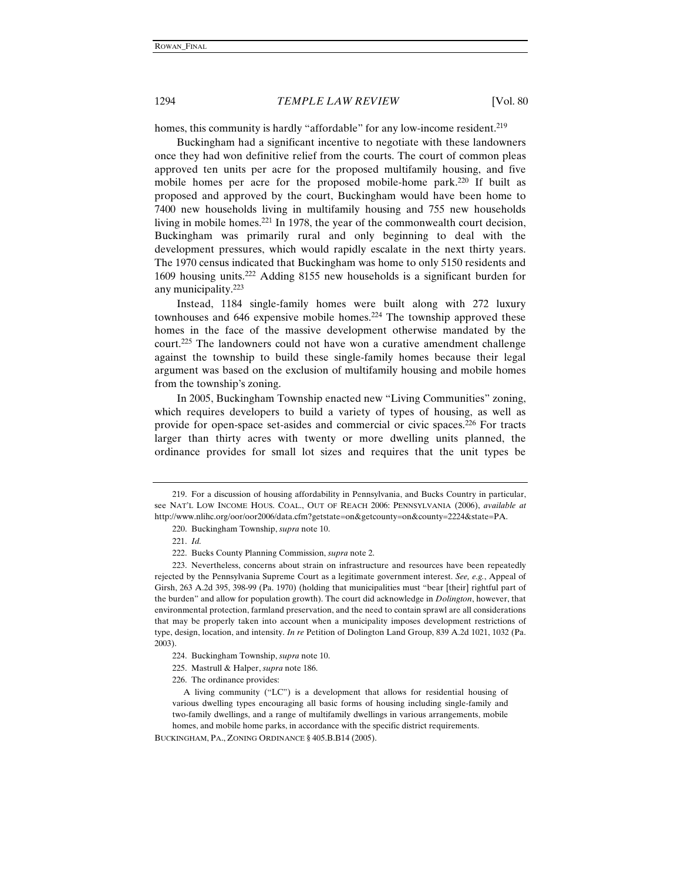homes, this community is hardly "affordable" for any low-income resident.<sup>219</sup>

Buckingham had a significant incentive to negotiate with these landowners once they had won definitive relief from the courts. The court of common pleas approved ten units per acre for the proposed multifamily housing, and five mobile homes per acre for the proposed mobile-home park.220 If built as proposed and approved by the court, Buckingham would have been home to 7400 new households living in multifamily housing and 755 new households living in mobile homes.221 In 1978, the year of the commonwealth court decision, Buckingham was primarily rural and only beginning to deal with the development pressures, which would rapidly escalate in the next thirty years. The 1970 census indicated that Buckingham was home to only 5150 residents and 1609 housing units.222 Adding 8155 new households is a significant burden for any municipality.223

Instead, 1184 single-family homes were built along with 272 luxury townhouses and  $646$  expensive mobile homes.<sup>224</sup> The township approved these homes in the face of the massive development otherwise mandated by the court.225 The landowners could not have won a curative amendment challenge against the township to build these single-family homes because their legal argument was based on the exclusion of multifamily housing and mobile homes from the township's zoning.

In 2005, Buckingham Township enacted new "Living Communities" zoning, which requires developers to build a variety of types of housing, as well as provide for open-space set-asides and commercial or civic spaces.226 For tracts larger than thirty acres with twenty or more dwelling units planned, the ordinance provides for small lot sizes and requires that the unit types be

<sup>219.</sup> For a discussion of housing affordability in Pennsylvania, and Bucks Country in particular, see NAT'L LOW INCOME HOUS. COAL., OUT OF REACH 2006: PENNSYLVANIA (2006), *available at* http://www.nlihc.org/oor/oor2006/data.cfm?getstate=on&getcounty=on&county=2224&state=PA.

<sup>220.</sup> Buckingham Township, *supra* note 10.

<sup>221.</sup> *Id.*

<sup>222.</sup> Bucks County Planning Commission, *supra* note 2.

<sup>223.</sup> Nevertheless, concerns about strain on infrastructure and resources have been repeatedly rejected by the Pennsylvania Supreme Court as a legitimate government interest. *See, e.g.*, Appeal of Girsh, 263 A.2d 395, 398-99 (Pa. 1970) (holding that municipalities must "bear [their] rightful part of the burden" and allow for population growth). The court did acknowledge in *Dolington*, however, that environmental protection, farmland preservation, and the need to contain sprawl are all considerations that may be properly taken into account when a municipality imposes development restrictions of type, design, location, and intensity. *In re* Petition of Dolington Land Group, 839 A.2d 1021, 1032 (Pa. 2003).

<sup>224.</sup> Buckingham Township, *supra* note 10.

<sup>225.</sup> Mastrull & Halper, *supra* note 186.

<sup>226.</sup> The ordinance provides:

A living community ("LC") is a development that allows for residential housing of various dwelling types encouraging all basic forms of housing including single-family and two-family dwellings, and a range of multifamily dwellings in various arrangements, mobile homes, and mobile home parks, in accordance with the specific district requirements.

BUCKINGHAM, PA., ZONING ORDINANCE § 405.B.B14 (2005).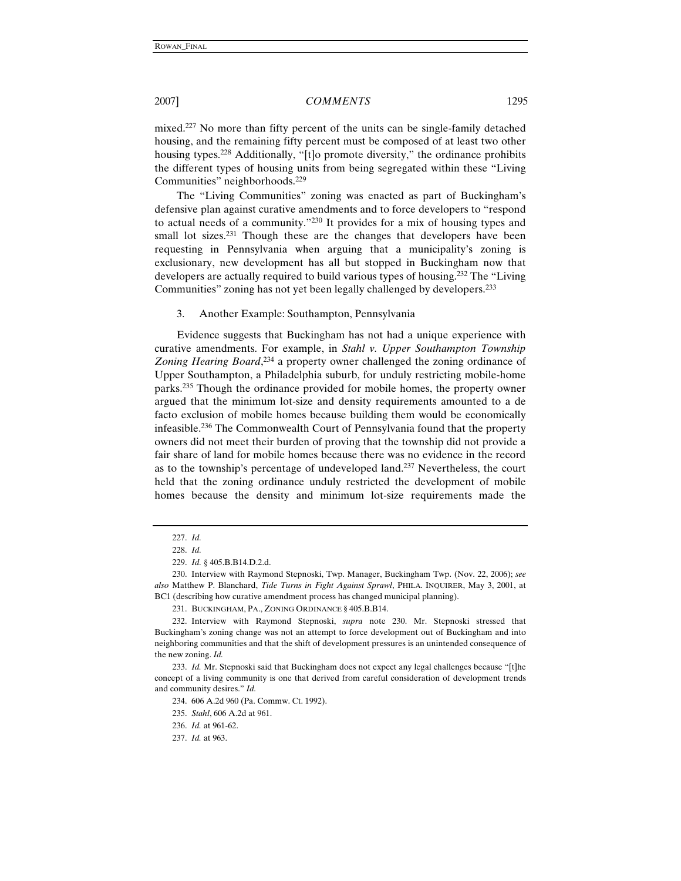mixed.227 No more than fifty percent of the units can be single-family detached housing, and the remaining fifty percent must be composed of at least two other housing types.<sup>228</sup> Additionally, "[t]o promote diversity," the ordinance prohibits the different types of housing units from being segregated within these "Living Communities" neighborhoods.229

The "Living Communities" zoning was enacted as part of Buckingham's defensive plan against curative amendments and to force developers to "respond to actual needs of a community."230 It provides for a mix of housing types and small lot sizes.<sup>231</sup> Though these are the changes that developers have been requesting in Pennsylvania when arguing that a municipality's zoning is exclusionary, new development has all but stopped in Buckingham now that developers are actually required to build various types of housing.232 The "Living Communities" zoning has not yet been legally challenged by developers.233

3. Another Example: Southampton, Pennsylvania

Evidence suggests that Buckingham has not had a unique experience with curative amendments. For example, in *Stahl v. Upper Southampton Township*  Zoning Hearing Board,<sup>234</sup> a property owner challenged the zoning ordinance of Upper Southampton, a Philadelphia suburb, for unduly restricting mobile-home parks.235 Though the ordinance provided for mobile homes, the property owner argued that the minimum lot-size and density requirements amounted to a de facto exclusion of mobile homes because building them would be economically infeasible.236 The Commonwealth Court of Pennsylvania found that the property owners did not meet their burden of proving that the township did not provide a fair share of land for mobile homes because there was no evidence in the record as to the township's percentage of undeveloped land.237 Nevertheless, the court held that the zoning ordinance unduly restricted the development of mobile homes because the density and minimum lot-size requirements made the

231. BUCKINGHAM, PA., ZONING ORDINANCE § 405.B.B14.

<sup>227.</sup> *Id.*

<sup>228.</sup> *Id.*

<sup>229.</sup> *Id.* § 405.B.B14.D.2.d.

<sup>230.</sup> Interview with Raymond Stepnoski, Twp. Manager, Buckingham Twp. (Nov. 22, 2006); *see also* Matthew P. Blanchard, *Tide Turns in Fight Against Sprawl*, PHILA. INQUIRER, May 3, 2001, at BC1 (describing how curative amendment process has changed municipal planning).

<sup>232.</sup> Interview with Raymond Stepnoski, *supra* note 230. Mr. Stepnoski stressed that Buckingham's zoning change was not an attempt to force development out of Buckingham and into neighboring communities and that the shift of development pressures is an unintended consequence of the new zoning. *Id.*

<sup>233.</sup> *Id.* Mr. Stepnoski said that Buckingham does not expect any legal challenges because "[t]he concept of a living community is one that derived from careful consideration of development trends and community desires." *Id.*

<sup>234. 606</sup> A.2d 960 (Pa. Commw. Ct. 1992).

<sup>235.</sup> *Stahl*, 606 A.2d at 961.

<sup>236.</sup> *Id.* at 961-62.

<sup>237.</sup> *Id.* at 963.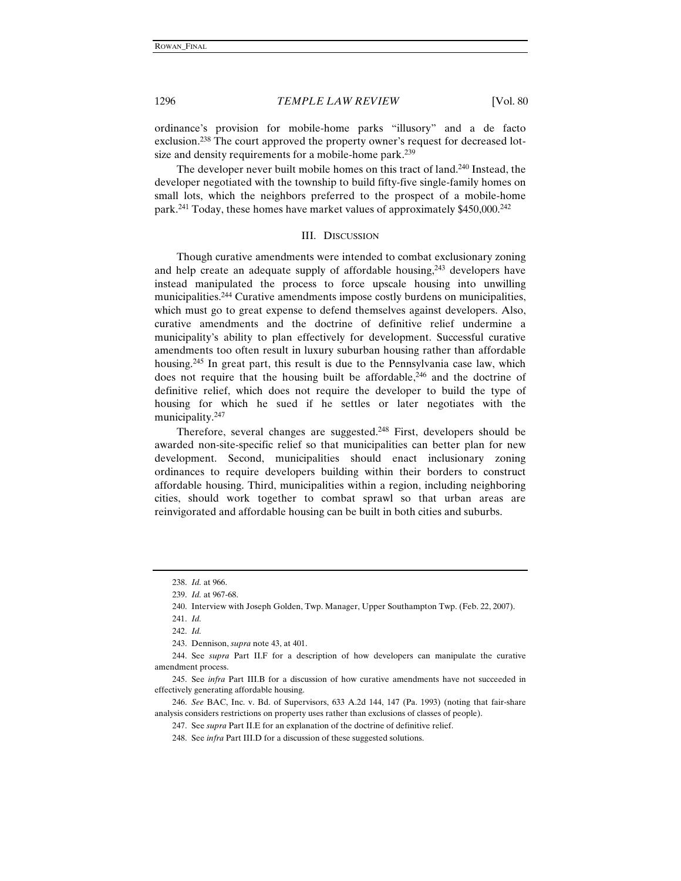ordinance's provision for mobile-home parks "illusory" and a de facto exclusion.<sup>238</sup> The court approved the property owner's request for decreased lotsize and density requirements for a mobile-home park.<sup>239</sup>

The developer never built mobile homes on this tract of land.240 Instead, the developer negotiated with the township to build fifty-five single-family homes on small lots, which the neighbors preferred to the prospect of a mobile-home park.<sup>241</sup> Today, these homes have market values of approximately \$450,000.<sup>242</sup>

#### III. DISCUSSION

Though curative amendments were intended to combat exclusionary zoning and help create an adequate supply of affordable housing, $243$  developers have instead manipulated the process to force upscale housing into unwilling municipalities.244 Curative amendments impose costly burdens on municipalities, which must go to great expense to defend themselves against developers. Also, curative amendments and the doctrine of definitive relief undermine a municipality's ability to plan effectively for development. Successful curative amendments too often result in luxury suburban housing rather than affordable housing.<sup>245</sup> In great part, this result is due to the Pennsylvania case law, which does not require that the housing built be affordable,<sup>246</sup> and the doctrine of definitive relief, which does not require the developer to build the type of housing for which he sued if he settles or later negotiates with the municipality.247

Therefore, several changes are suggested.<sup>248</sup> First, developers should be awarded non-site-specific relief so that municipalities can better plan for new development. Second, municipalities should enact inclusionary zoning ordinances to require developers building within their borders to construct affordable housing. Third, municipalities within a region, including neighboring cities, should work together to combat sprawl so that urban areas are reinvigorated and affordable housing can be built in both cities and suburbs.

<sup>238.</sup> *Id.* at 966.

<sup>239.</sup> *Id.* at 967-68.

<sup>240.</sup> Interview with Joseph Golden, Twp. Manager, Upper Southampton Twp. (Feb. 22, 2007). 241. *Id.*

<sup>242.</sup> *Id.*

<sup>243.</sup> Dennison, *supra* note 43, at 401.

<sup>244.</sup> See *supra* Part II.F for a description of how developers can manipulate the curative amendment process.

<sup>245.</sup> See *infra* Part III.B for a discussion of how curative amendments have not succeeded in effectively generating affordable housing.

<sup>246.</sup> *See* BAC, Inc. v. Bd. of Supervisors, 633 A.2d 144, 147 (Pa. 1993) (noting that fair-share analysis considers restrictions on property uses rather than exclusions of classes of people).

<sup>247.</sup> See *supra* Part II.E for an explanation of the doctrine of definitive relief.

<sup>248.</sup> See *infra* Part III.D for a discussion of these suggested solutions.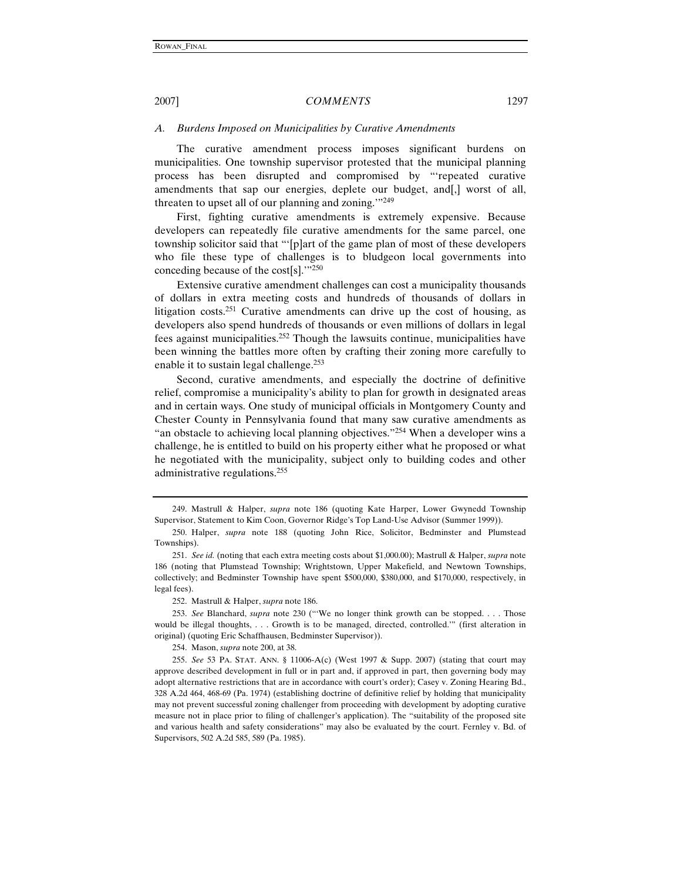#### *A. Burdens Imposed on Municipalities by Curative Amendments*

The curative amendment process imposes significant burdens on municipalities. One township supervisor protested that the municipal planning process has been disrupted and compromised by "'repeated curative amendments that sap our energies, deplete our budget, and[,] worst of all, threaten to upset all of our planning and zoning.'"249

First, fighting curative amendments is extremely expensive. Because developers can repeatedly file curative amendments for the same parcel, one township solicitor said that "'[p]art of the game plan of most of these developers who file these type of challenges is to bludgeon local governments into conceding because of the cost[s].'"250

Extensive curative amendment challenges can cost a municipality thousands of dollars in extra meeting costs and hundreds of thousands of dollars in litigation costs.251 Curative amendments can drive up the cost of housing, as developers also spend hundreds of thousands or even millions of dollars in legal fees against municipalities.252 Though the lawsuits continue, municipalities have been winning the battles more often by crafting their zoning more carefully to enable it to sustain legal challenge.253

Second, curative amendments, and especially the doctrine of definitive relief, compromise a municipality's ability to plan for growth in designated areas and in certain ways. One study of municipal officials in Montgomery County and Chester County in Pennsylvania found that many saw curative amendments as "an obstacle to achieving local planning objectives."<sup>254</sup> When a developer wins a challenge, he is entitled to build on his property either what he proposed or what he negotiated with the municipality, subject only to building codes and other administrative regulations.255

<sup>249.</sup> Mastrull & Halper, *supra* note 186 (quoting Kate Harper, Lower Gwynedd Township Supervisor, Statement to Kim Coon, Governor Ridge's Top Land-Use Advisor (Summer 1999)).

<sup>250.</sup> Halper, *supra* note 188 (quoting John Rice, Solicitor, Bedminster and Plumstead Townships).

<sup>251.</sup> *See id.* (noting that each extra meeting costs about \$1,000.00); Mastrull & Halper, *supra* note 186 (noting that Plumstead Township; Wrightstown, Upper Makefield, and Newtown Townships, collectively; and Bedminster Township have spent \$500,000, \$380,000, and \$170,000, respectively, in legal fees).

<sup>252.</sup> Mastrull & Halper, *supra* note 186.

<sup>253.</sup> *See* Blanchard, *supra* note 230 ("'We no longer think growth can be stopped. . . . Those would be illegal thoughts, . . . Growth is to be managed, directed, controlled.'" (first alteration in original) (quoting Eric Schaffhausen, Bedminster Supervisor)).

<sup>254.</sup> Mason, *supra* note 200, at 38.

<sup>255.</sup> *See* 53 PA. STAT. ANN. § 11006-A(c) (West 1997 & Supp. 2007) (stating that court may approve described development in full or in part and, if approved in part, then governing body may adopt alternative restrictions that are in accordance with court's order); Casey v. Zoning Hearing Bd., 328 A.2d 464, 468-69 (Pa. 1974) (establishing doctrine of definitive relief by holding that municipality may not prevent successful zoning challenger from proceeding with development by adopting curative measure not in place prior to filing of challenger's application). The "suitability of the proposed site and various health and safety considerations" may also be evaluated by the court. Fernley v. Bd. of Supervisors, 502 A.2d 585, 589 (Pa. 1985).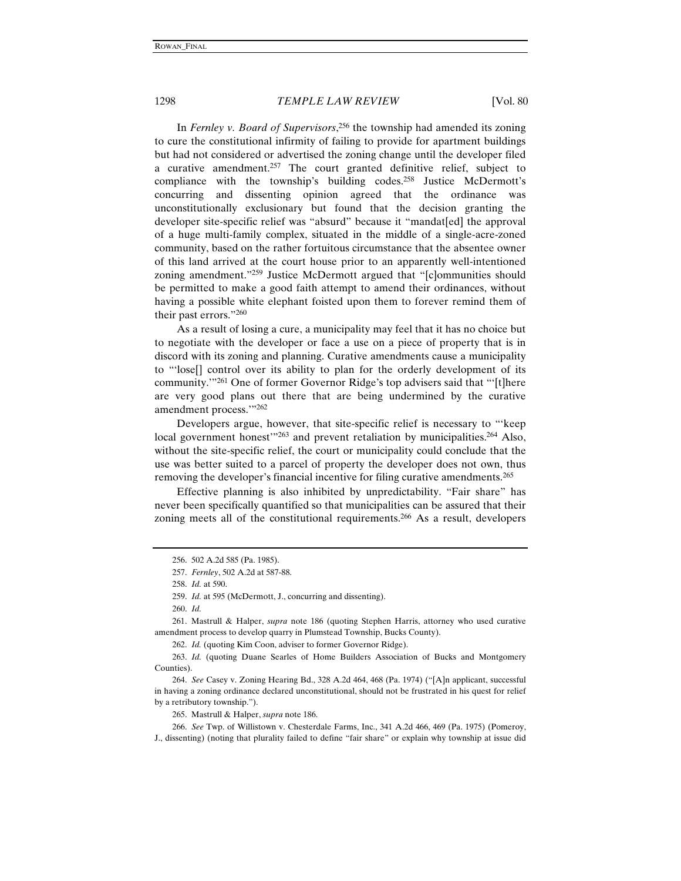In *Fernley v. Board of Supervisors*, 256 the township had amended its zoning to cure the constitutional infirmity of failing to provide for apartment buildings but had not considered or advertised the zoning change until the developer filed a curative amendment.257 The court granted definitive relief, subject to compliance with the township's building codes.258 Justice McDermott's concurring and dissenting opinion agreed that the ordinance was unconstitutionally exclusionary but found that the decision granting the developer site-specific relief was "absurd" because it "mandat[ed] the approval of a huge multi-family complex, situated in the middle of a single-acre-zoned community, based on the rather fortuitous circumstance that the absentee owner of this land arrived at the court house prior to an apparently well-intentioned zoning amendment."<sup>259</sup> Justice McDermott argued that "[c]ommunities should be permitted to make a good faith attempt to amend their ordinances, without having a possible white elephant foisted upon them to forever remind them of their past errors."260

As a result of losing a cure, a municipality may feel that it has no choice but to negotiate with the developer or face a use on a piece of property that is in discord with its zoning and planning. Curative amendments cause a municipality to "'lose[] control over its ability to plan for the orderly development of its community.'"261 One of former Governor Ridge's top advisers said that "'[t]here are very good plans out there that are being undermined by the curative amendment process."<sup>262</sup>

Developers argue, however, that site-specific relief is necessary to "'keep local government honest<sup> $\frac{1}{263}$ </sup> and prevent retaliation by municipalities.<sup>264</sup> Also, without the site-specific relief, the court or municipality could conclude that the use was better suited to a parcel of property the developer does not own, thus removing the developer's financial incentive for filing curative amendments.265

Effective planning is also inhibited by unpredictability. "Fair share" has never been specifically quantified so that municipalities can be assured that their zoning meets all of the constitutional requirements.<sup>266</sup> As a result, developers

262. *Id.* (quoting Kim Coon, adviser to former Governor Ridge).

265. Mastrull & Halper, *supra* note 186.

<sup>256. 502</sup> A.2d 585 (Pa. 1985).

<sup>257.</sup> *Fernley*, 502 A.2d at 587-88.

<sup>258.</sup> *Id.* at 590.

<sup>259.</sup> *Id.* at 595 (McDermott, J., concurring and dissenting).

<sup>260.</sup> *Id.*

<sup>261.</sup> Mastrull & Halper, *supra* note 186 (quoting Stephen Harris, attorney who used curative amendment process to develop quarry in Plumstead Township, Bucks County).

<sup>263.</sup> *Id.* (quoting Duane Searles of Home Builders Association of Bucks and Montgomery Counties).

<sup>264.</sup> *See* Casey v. Zoning Hearing Bd., 328 A.2d 464, 468 (Pa. 1974) ("[A]n applicant, successful in having a zoning ordinance declared unconstitutional, should not be frustrated in his quest for relief by a retributory township.").

<sup>266.</sup> *See* Twp. of Willistown v. Chesterdale Farms, Inc., 341 A.2d 466, 469 (Pa. 1975) (Pomeroy, J., dissenting) (noting that plurality failed to define "fair share" or explain why township at issue did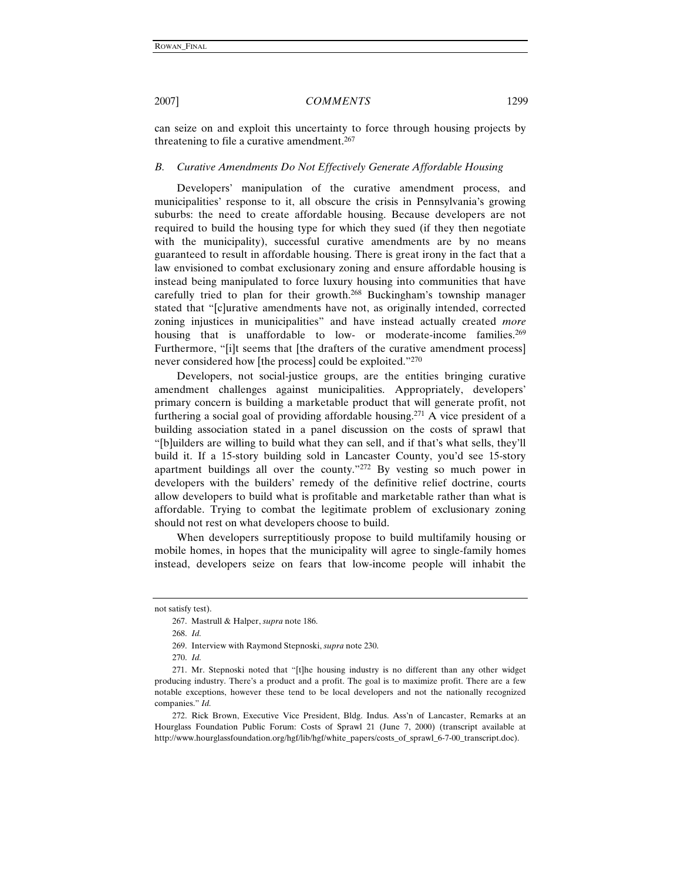can seize on and exploit this uncertainty to force through housing projects by threatening to file a curative amendment.<sup>267</sup>

#### *B. Curative Amendments Do Not Effectively Generate Affordable Housing*

Developers' manipulation of the curative amendment process, and municipalities' response to it, all obscure the crisis in Pennsylvania's growing suburbs: the need to create affordable housing. Because developers are not required to build the housing type for which they sued (if they then negotiate with the municipality), successful curative amendments are by no means guaranteed to result in affordable housing. There is great irony in the fact that a law envisioned to combat exclusionary zoning and ensure affordable housing is instead being manipulated to force luxury housing into communities that have carefully tried to plan for their growth.268 Buckingham's township manager stated that "[c]urative amendments have not, as originally intended, corrected zoning injustices in municipalities" and have instead actually created *more* housing that is unaffordable to low- or moderate-income families.<sup>269</sup> Furthermore, "[i]t seems that [the drafters of the curative amendment process] never considered how [the process] could be exploited."270

Developers, not social-justice groups, are the entities bringing curative amendment challenges against municipalities. Appropriately, developers' primary concern is building a marketable product that will generate profit, not furthering a social goal of providing affordable housing.271 A vice president of a building association stated in a panel discussion on the costs of sprawl that "[b]uilders are willing to build what they can sell, and if that's what sells, they'll build it. If a 15-story building sold in Lancaster County, you'd see 15-story apartment buildings all over the county."272 By vesting so much power in developers with the builders' remedy of the definitive relief doctrine, courts allow developers to build what is profitable and marketable rather than what is affordable. Trying to combat the legitimate problem of exclusionary zoning should not rest on what developers choose to build.

When developers surreptitiously propose to build multifamily housing or mobile homes, in hopes that the municipality will agree to single-family homes instead, developers seize on fears that low-income people will inhabit the

not satisfy test).

<sup>267.</sup> Mastrull & Halper, *supra* note 186.

<sup>268.</sup> *Id.*

<sup>269.</sup> Interview with Raymond Stepnoski, *supra* note 230.

<sup>270.</sup> *Id.*

<sup>271.</sup> Mr. Stepnoski noted that "[t]he housing industry is no different than any other widget producing industry. There's a product and a profit. The goal is to maximize profit. There are a few notable exceptions, however these tend to be local developers and not the nationally recognized companies." *Id.*

<sup>272.</sup> Rick Brown, Executive Vice President, Bldg. Indus. Ass'n of Lancaster, Remarks at an Hourglass Foundation Public Forum: Costs of Sprawl 21 (June 7, 2000) (transcript available at http://www.hourglassfoundation.org/hgf/lib/hgf/white\_papers/costs\_of\_sprawl\_6-7-00\_transcript.doc).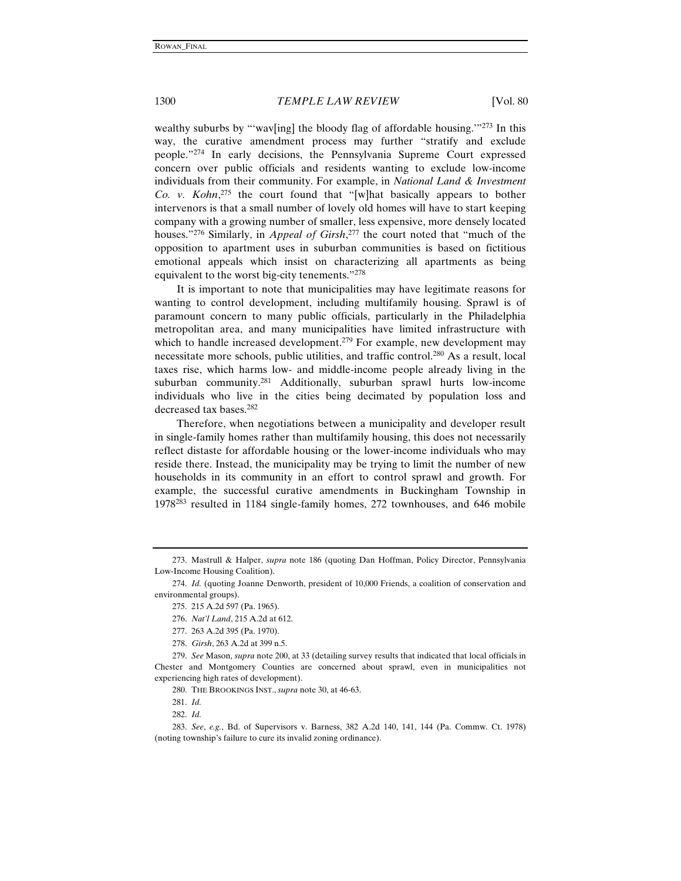wealthy suburbs by "'wav[ing] the bloody flag of affordable housing."<sup>273</sup> In this way, the curative amendment process may further "stratify and exclude people."274 In early decisions, the Pennsylvania Supreme Court expressed concern over public officials and residents wanting to exclude low-income individuals from their community. For example, in *National Land & Investment Co. v. Kohn*, 275 the court found that "[w]hat basically appears to bother intervenors is that a small number of lovely old homes will have to start keeping company with a growing number of smaller, less expensive, more densely located houses."276 Similarly, in *Appeal of Girsh*, 277 the court noted that "much of the opposition to apartment uses in suburban communities is based on fictitious emotional appeals which insist on characterizing all apartments as being equivalent to the worst big-city tenements."278

 It is important to note that municipalities may have legitimate reasons for wanting to control development, including multifamily housing. Sprawl is of paramount concern to many public officials, particularly in the Philadelphia metropolitan area, and many municipalities have limited infrastructure with which to handle increased development.<sup>279</sup> For example, new development may necessitate more schools, public utilities, and traffic control.280 As a result, local taxes rise, which harms low- and middle-income people already living in the suburban community.<sup>281</sup> Additionally, suburban sprawl hurts low-income individuals who live in the cities being decimated by population loss and decreased tax bases.282

Therefore, when negotiations between a municipality and developer result in single-family homes rather than multifamily housing, this does not necessarily reflect distaste for affordable housing or the lower-income individuals who may reside there. Instead, the municipality may be trying to limit the number of new households in its community in an effort to control sprawl and growth. For example, the successful curative amendments in Buckingham Township in 1978283 resulted in 1184 single-family homes, 272 townhouses, and 646 mobile

<sup>273.</sup> Mastrull & Halper, *supra* note 186 (quoting Dan Hoffman, Policy Director, Pennsylvania Low-Income Housing Coalition).

<sup>274.</sup> *Id.* (quoting Joanne Denworth, president of 10,000 Friends, a coalition of conservation and environmental groups).

<sup>275. 215</sup> A.2d 597 (Pa. 1965).

<sup>276.</sup> *Nat'l Land*, 215 A.2d at 612.

<sup>277. 263</sup> A.2d 395 (Pa. 1970).

<sup>278.</sup> *Girsh*, 263 A.2d at 399 n.5.

<sup>279.</sup> *See* Mason, *supra* note 200, at 33 (detailing survey results that indicated that local officials in Chester and Montgomery Counties are concerned about sprawl, even in municipalities not experiencing high rates of development).

<sup>280.</sup> THE BROOKINGS INST., *supra* note 30, at 46-63.

<sup>281.</sup> *Id.*

<sup>282.</sup> *Id.*

<sup>283.</sup> *See*, *e.g.*, Bd. of Supervisors v. Barness, 382 A.2d 140, 141, 144 (Pa. Commw. Ct. 1978) (noting township's failure to cure its invalid zoning ordinance).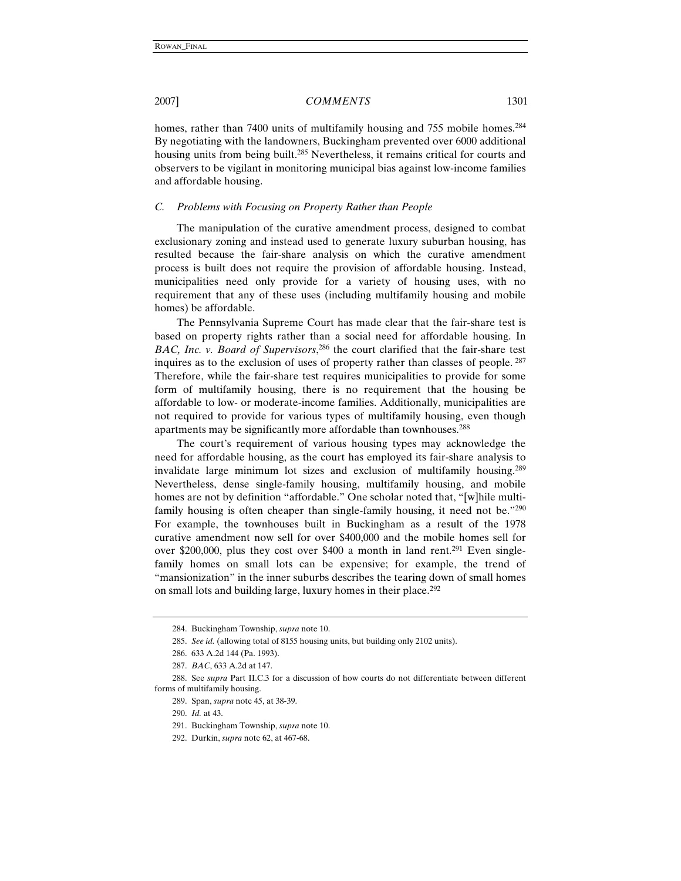homes, rather than 7400 units of multifamily housing and 755 mobile homes.<sup>284</sup> By negotiating with the landowners, Buckingham prevented over 6000 additional housing units from being built.<sup>285</sup> Nevertheless, it remains critical for courts and observers to be vigilant in monitoring municipal bias against low-income families and affordable housing.

### *C. Problems with Focusing on Property Rather than People*

The manipulation of the curative amendment process, designed to combat exclusionary zoning and instead used to generate luxury suburban housing, has resulted because the fair-share analysis on which the curative amendment process is built does not require the provision of affordable housing. Instead, municipalities need only provide for a variety of housing uses, with no requirement that any of these uses (including multifamily housing and mobile homes) be affordable.

The Pennsylvania Supreme Court has made clear that the fair-share test is based on property rights rather than a social need for affordable housing. In *BAC, Inc. v. Board of Supervisors*, 286 the court clarified that the fair-share test inquires as to the exclusion of uses of property rather than classes of people. <sup>287</sup> Therefore, while the fair-share test requires municipalities to provide for some form of multifamily housing, there is no requirement that the housing be affordable to low- or moderate-income families. Additionally, municipalities are not required to provide for various types of multifamily housing, even though apartments may be significantly more affordable than townhouses.288

The court's requirement of various housing types may acknowledge the need for affordable housing, as the court has employed its fair-share analysis to invalidate large minimum lot sizes and exclusion of multifamily housing.289 Nevertheless, dense single-family housing, multifamily housing, and mobile homes are not by definition "affordable." One scholar noted that, "[w]hile multifamily housing is often cheaper than single-family housing, it need not be."<sup>290</sup> For example, the townhouses built in Buckingham as a result of the 1978 curative amendment now sell for over \$400,000 and the mobile homes sell for over \$200,000, plus they cost over \$400 a month in land rent.<sup>291</sup> Even singlefamily homes on small lots can be expensive; for example, the trend of "mansionization" in the inner suburbs describes the tearing down of small homes on small lots and building large, luxury homes in their place.292

<sup>284.</sup> Buckingham Township, *supra* note 10.

<sup>285.</sup> *See id.* (allowing total of 8155 housing units, but building only 2102 units).

<sup>286. 633</sup> A.2d 144 (Pa. 1993).

<sup>287.</sup> *BAC*, 633 A.2d at 147.

<sup>288.</sup> See *supra* Part II.C.3 for a discussion of how courts do not differentiate between different forms of multifamily housing.

<sup>289.</sup> Span, *supra* note 45, at 38-39.

<sup>290.</sup> *Id.* at 43.

<sup>291.</sup> Buckingham Township, *supra* note 10.

<sup>292.</sup> Durkin, *supra* note 62, at 467-68.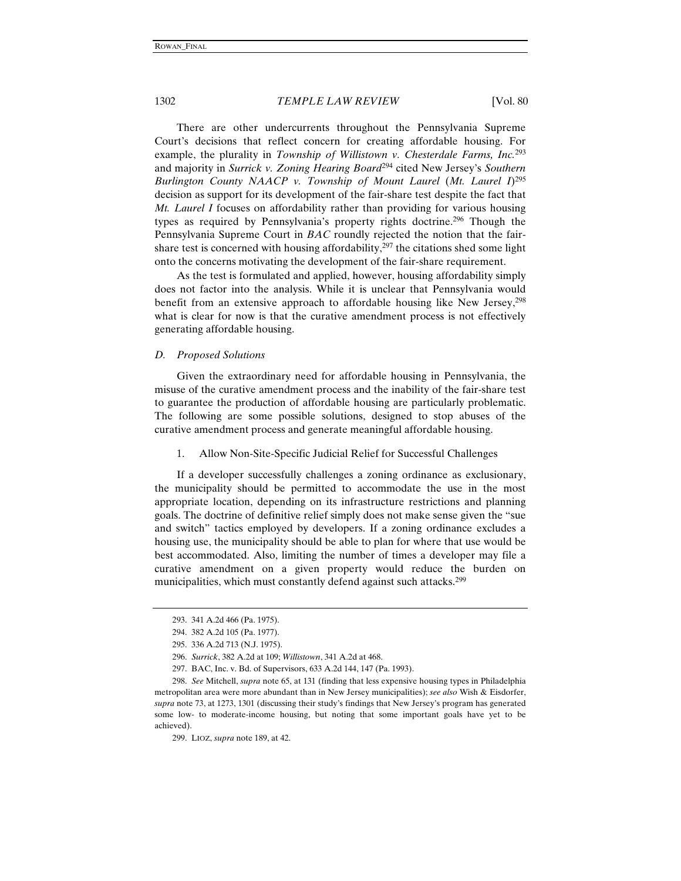There are other undercurrents throughout the Pennsylvania Supreme Court's decisions that reflect concern for creating affordable housing. For example, the plurality in *Township of Willistown v. Chesterdale Farms, Inc.*<sup>293</sup> and majority in *Surrick v. Zoning Hearing Board*294 cited New Jersey's *Southern Burlington County NAACP v. Township of Mount Laurel* (*Mt. Laurel I*)295 decision as support for its development of the fair-share test despite the fact that *Mt. Laurel I* focuses on affordability rather than providing for various housing types as required by Pennsylvania's property rights doctrine.296 Though the Pennsylvania Supreme Court in *BAC* roundly rejected the notion that the fairshare test is concerned with housing affordability, $297$  the citations shed some light onto the concerns motivating the development of the fair-share requirement.

As the test is formulated and applied, however, housing affordability simply does not factor into the analysis. While it is unclear that Pennsylvania would benefit from an extensive approach to affordable housing like New Jersey,298 what is clear for now is that the curative amendment process is not effectively generating affordable housing.

#### *D. Proposed Solutions*

Given the extraordinary need for affordable housing in Pennsylvania, the misuse of the curative amendment process and the inability of the fair-share test to guarantee the production of affordable housing are particularly problematic. The following are some possible solutions, designed to stop abuses of the curative amendment process and generate meaningful affordable housing.

#### 1. Allow Non-Site-Specific Judicial Relief for Successful Challenges

If a developer successfully challenges a zoning ordinance as exclusionary, the municipality should be permitted to accommodate the use in the most appropriate location, depending on its infrastructure restrictions and planning goals. The doctrine of definitive relief simply does not make sense given the "sue and switch" tactics employed by developers. If a zoning ordinance excludes a housing use, the municipality should be able to plan for where that use would be best accommodated. Also, limiting the number of times a developer may file a curative amendment on a given property would reduce the burden on municipalities, which must constantly defend against such attacks.<sup>299</sup>

<sup>293. 341</sup> A.2d 466 (Pa. 1975).

<sup>294. 382</sup> A.2d 105 (Pa. 1977).

<sup>295. 336</sup> A.2d 713 (N.J. 1975).

<sup>296.</sup> *Surrick*, 382 A.2d at 109; *Willistown*, 341 A.2d at 468.

<sup>297.</sup> BAC, Inc. v. Bd. of Supervisors, 633 A.2d 144, 147 (Pa. 1993).

<sup>298.</sup> *See* Mitchell, *supra* note 65, at 131 (finding that less expensive housing types in Philadelphia metropolitan area were more abundant than in New Jersey municipalities); *see also* Wish & Eisdorfer, *supra* note 73, at 1273, 1301 (discussing their study's findings that New Jersey's program has generated some low- to moderate-income housing, but noting that some important goals have yet to be achieved).

<sup>299.</sup> LIOZ, *supra* note 189, at 42.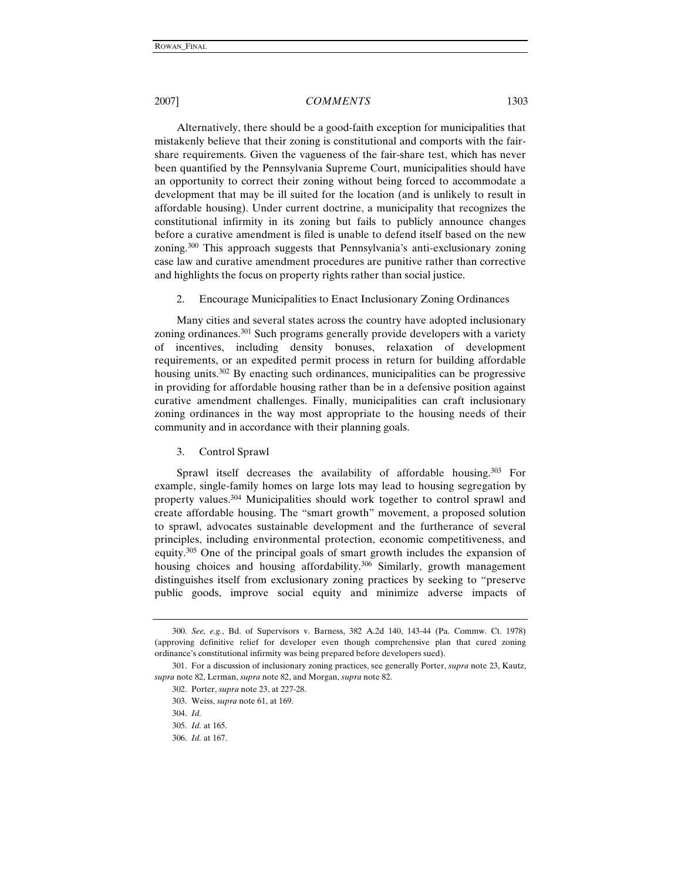Alternatively, there should be a good-faith exception for municipalities that mistakenly believe that their zoning is constitutional and comports with the fairshare requirements. Given the vagueness of the fair-share test, which has never been quantified by the Pennsylvania Supreme Court, municipalities should have an opportunity to correct their zoning without being forced to accommodate a development that may be ill suited for the location (and is unlikely to result in affordable housing). Under current doctrine, a municipality that recognizes the constitutional infirmity in its zoning but fails to publicly announce changes before a curative amendment is filed is unable to defend itself based on the new zoning.300 This approach suggests that Pennsylvania's anti-exclusionary zoning case law and curative amendment procedures are punitive rather than corrective and highlights the focus on property rights rather than social justice.

2. Encourage Municipalities to Enact Inclusionary Zoning Ordinances

Many cities and several states across the country have adopted inclusionary zoning ordinances.<sup>301</sup> Such programs generally provide developers with a variety of incentives, including density bonuses, relaxation of development requirements, or an expedited permit process in return for building affordable housing units.<sup>302</sup> By enacting such ordinances, municipalities can be progressive in providing for affordable housing rather than be in a defensive position against curative amendment challenges. Finally, municipalities can craft inclusionary zoning ordinances in the way most appropriate to the housing needs of their community and in accordance with their planning goals.

#### 3. Control Sprawl

Sprawl itself decreases the availability of affordable housing.<sup>303</sup> For example, single-family homes on large lots may lead to housing segregation by property values.304 Municipalities should work together to control sprawl and create affordable housing. The "smart growth" movement, a proposed solution to sprawl, advocates sustainable development and the furtherance of several principles, including environmental protection, economic competitiveness, and equity.305 One of the principal goals of smart growth includes the expansion of housing choices and housing affordability.<sup>306</sup> Similarly, growth management distinguishes itself from exclusionary zoning practices by seeking to "preserve public goods, improve social equity and minimize adverse impacts of

<sup>300.</sup> *See, e.g.*, Bd. of Supervisors v. Barness, 382 A.2d 140, 143-44 (Pa. Commw. Ct. 1978) (approving definitive relief for developer even though comprehensive plan that cured zoning ordinance's constitutional infirmity was being prepared before developers sued).

<sup>301.</sup> For a discussion of inclusionary zoning practices, see generally Porter, *supra* note 23, Kautz, *supra* note 82, Lerman, *supra* note 82, and Morgan, *supra* note 82.

<sup>302.</sup> Porter, *supra* note 23, at 227-28.

<sup>303.</sup> Weiss, *supra* note 61, at 169.

<sup>304.</sup> *Id.*

<sup>305.</sup> *Id.* at 165.

<sup>306.</sup> *Id.* at 167.